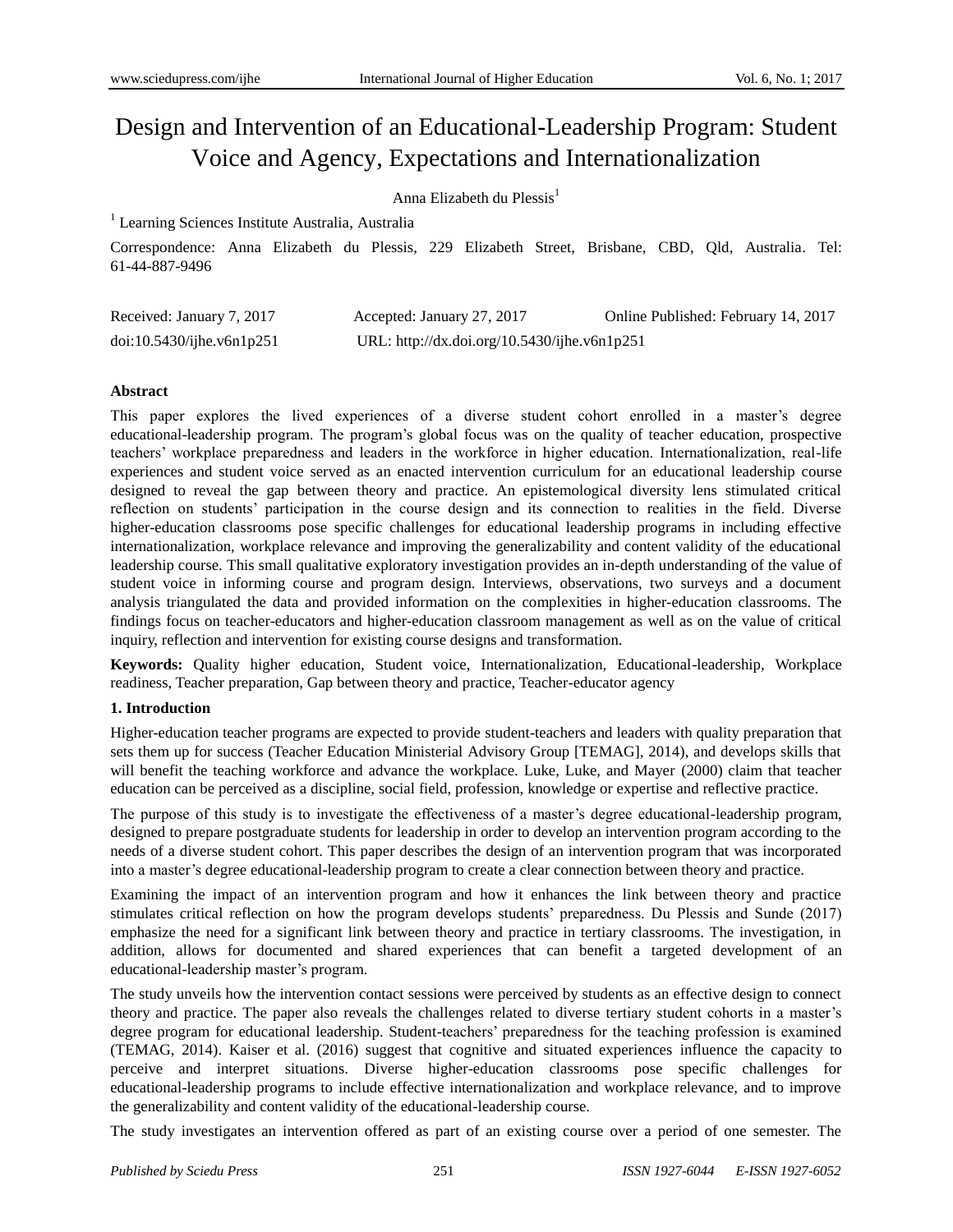# Design and Intervention of an Educational-Leadership Program: Student Voice and Agency, Expectations and Internationalization

Anna Elizabeth du Plessis<sup>1</sup>

<sup>1</sup> Learning Sciences Institute Australia, Australia

Correspondence: Anna Elizabeth du Plessis, 229 Elizabeth Street, Brisbane, CBD, Qld, Australia. Tel: 61-44-887-9496

| Received: January 7, 2017 | Accepted: January 27, 2017                   | Online Published: February 14, 2017 |
|---------------------------|----------------------------------------------|-------------------------------------|
| doi:10.5430/ijhe.v6n1p251 | URL: http://dx.doi.org/10.5430/ijhe.v6n1p251 |                                     |

## **Abstract**

This paper explores the lived experiences of a diverse student cohort enrolled in a master's degree educational-leadership program. The program's global focus was on the quality of teacher education, prospective teachers' workplace preparedness and leaders in the workforce in higher education. Internationalization, real-life experiences and student voice served as an enacted intervention curriculum for an educational leadership course designed to reveal the gap between theory and practice. An epistemological diversity lens stimulated critical reflection on students' participation in the course design and its connection to realities in the field. Diverse higher-education classrooms pose specific challenges for educational leadership programs in including effective internationalization, workplace relevance and improving the generalizability and content validity of the educational leadership course. This small qualitative exploratory investigation provides an in-depth understanding of the value of student voice in informing course and program design. Interviews, observations, two surveys and a document analysis triangulated the data and provided information on the complexities in higher-education classrooms. The findings focus on teacher-educators and higher-education classroom management as well as on the value of critical inquiry, reflection and intervention for existing course designs and transformation.

**Keywords:** Quality higher education, Student voice, Internationalization, Educational-leadership, Workplace readiness, Teacher preparation, Gap between theory and practice, Teacher-educator agency

# **1. Introduction**

Higher-education teacher programs are expected to provide student-teachers and leaders with quality preparation that sets them up for success (Teacher Education Ministerial Advisory Group [TEMAG], 2014), and develops skills that will benefit the teaching workforce and advance the workplace. Luke, Luke, and Mayer (2000) claim that teacher education can be perceived as a discipline, social field, profession, knowledge or expertise and reflective practice.

The purpose of this study is to investigate the effectiveness of a master's degree educational-leadership program, designed to prepare postgraduate students for leadership in order to develop an intervention program according to the needs of a diverse student cohort. This paper describes the design of an intervention program that was incorporated into a master's degree educational-leadership program to create a clear connection between theory and practice.

Examining the impact of an intervention program and how it enhances the link between theory and practice stimulates critical reflection on how the program develops students' preparedness. Du Plessis and Sunde (2017) emphasize the need for a significant link between theory and practice in tertiary classrooms. The investigation, in addition, allows for documented and shared experiences that can benefit a targeted development of an educational-leadership master's program.

The study unveils how the intervention contact sessions were perceived by students as an effective design to connect theory and practice. The paper also reveals the challenges related to diverse tertiary student cohorts in a master's degree program for educational leadership. Student-teachers' preparedness for the teaching profession is examined (TEMAG, 2014). Kaiser et al. (2016) suggest that cognitive and situated experiences influence the capacity to perceive and interpret situations. Diverse higher-education classrooms pose specific challenges for educational-leadership programs to include effective internationalization and workplace relevance, and to improve the generalizability and content validity of the educational-leadership course.

The study investigates an intervention offered as part of an existing course over a period of one semester. The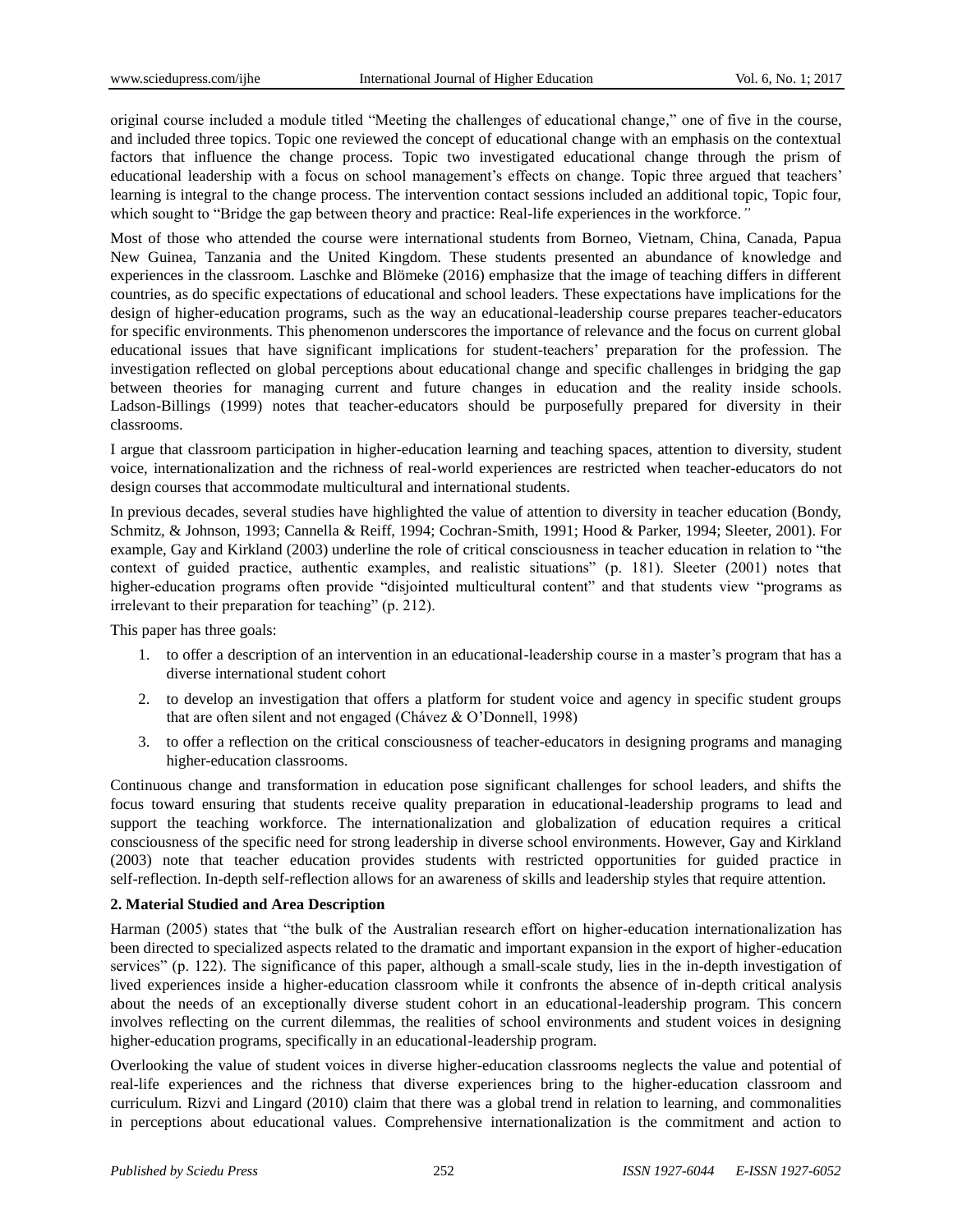original course included a module titled "Meeting the challenges of educational change*,*" one of five in the course, and included three topics. Topic one reviewed the concept of educational change with an emphasis on the contextual factors that influence the change process. Topic two investigated educational change through the prism of educational leadership with a focus on school management's effects on change. Topic three argued that teachers' learning is integral to the change process. The intervention contact sessions included an additional topic, Topic four, which sought to "Bridge the gap between theory and practice: Real-life experiences in the workforce.*"* 

Most of those who attended the course were international students from Borneo, Vietnam, China, Canada, Papua New Guinea, Tanzania and the United Kingdom. These students presented an abundance of knowledge and experiences in the classroom. Laschke and Blömeke (2016) emphasize that the image of teaching differs in different countries, as do specific expectations of educational and school leaders. These expectations have implications for the design of higher-education programs, such as the way an educational-leadership course prepares teacher-educators for specific environments. This phenomenon underscores the importance of relevance and the focus on current global educational issues that have significant implications for student-teachers' preparation for the profession. The investigation reflected on global perceptions about educational change and specific challenges in bridging the gap between theories for managing current and future changes in education and the reality inside schools. Ladson-Billings (1999) notes that teacher-educators should be purposefully prepared for diversity in their classrooms.

I argue that classroom participation in higher-education learning and teaching spaces, attention to diversity, student voice, internationalization and the richness of real-world experiences are restricted when teacher-educators do not design courses that accommodate multicultural and international students.

In previous decades, several studies have highlighted the value of attention to diversity in teacher education (Bondy, Schmitz, & Johnson, 1993; Cannella & Reiff, 1994; Cochran-Smith, 1991; Hood & Parker, 1994; Sleeter, 2001). For example, Gay and Kirkland (2003) underline the role of critical consciousness in teacher education in relation to "the context of guided practice, authentic examples, and realistic situations" (p. 181). Sleeter (2001) notes that higher-education programs often provide "disjointed multicultural content" and that students view "programs as irrelevant to their preparation for teaching" (p. 212).

This paper has three goals:

- 1. to offer a description of an intervention in an educational-leadership course in a master's program that has a diverse international student cohort
- 2. to develop an investigation that offers a platform for student voice and agency in specific student groups that are often silent and not engaged (Chávez & O'Donnell, 1998)
- 3. to offer a reflection on the critical consciousness of teacher-educators in designing programs and managing higher-education classrooms.

Continuous change and transformation in education pose significant challenges for school leaders, and shifts the focus toward ensuring that students receive quality preparation in educational-leadership programs to lead and support the teaching workforce. The internationalization and globalization of education requires a critical consciousness of the specific need for strong leadership in diverse school environments. However, Gay and Kirkland (2003) note that teacher education provides students with restricted opportunities for guided practice in self-reflection. In-depth self-reflection allows for an awareness of skills and leadership styles that require attention.

# **2. Material Studied and Area Description**

Harman (2005) states that "the bulk of the Australian research effort on higher-education internationalization has been directed to specialized aspects related to the dramatic and important expansion in the export of higher-education services" (p. 122). The significance of this paper, although a small-scale study, lies in the in-depth investigation of lived experiences inside a higher-education classroom while it confronts the absence of in-depth critical analysis about the needs of an exceptionally diverse student cohort in an educational-leadership program. This concern involves reflecting on the current dilemmas, the realities of school environments and student voices in designing higher-education programs, specifically in an educational-leadership program.

Overlooking the value of student voices in diverse higher-education classrooms neglects the value and potential of real-life experiences and the richness that diverse experiences bring to the higher-education classroom and curriculum. Rizvi and Lingard (2010) claim that there was a global trend in relation to learning, and commonalities in perceptions about educational values. Comprehensive internationalization is the commitment and action to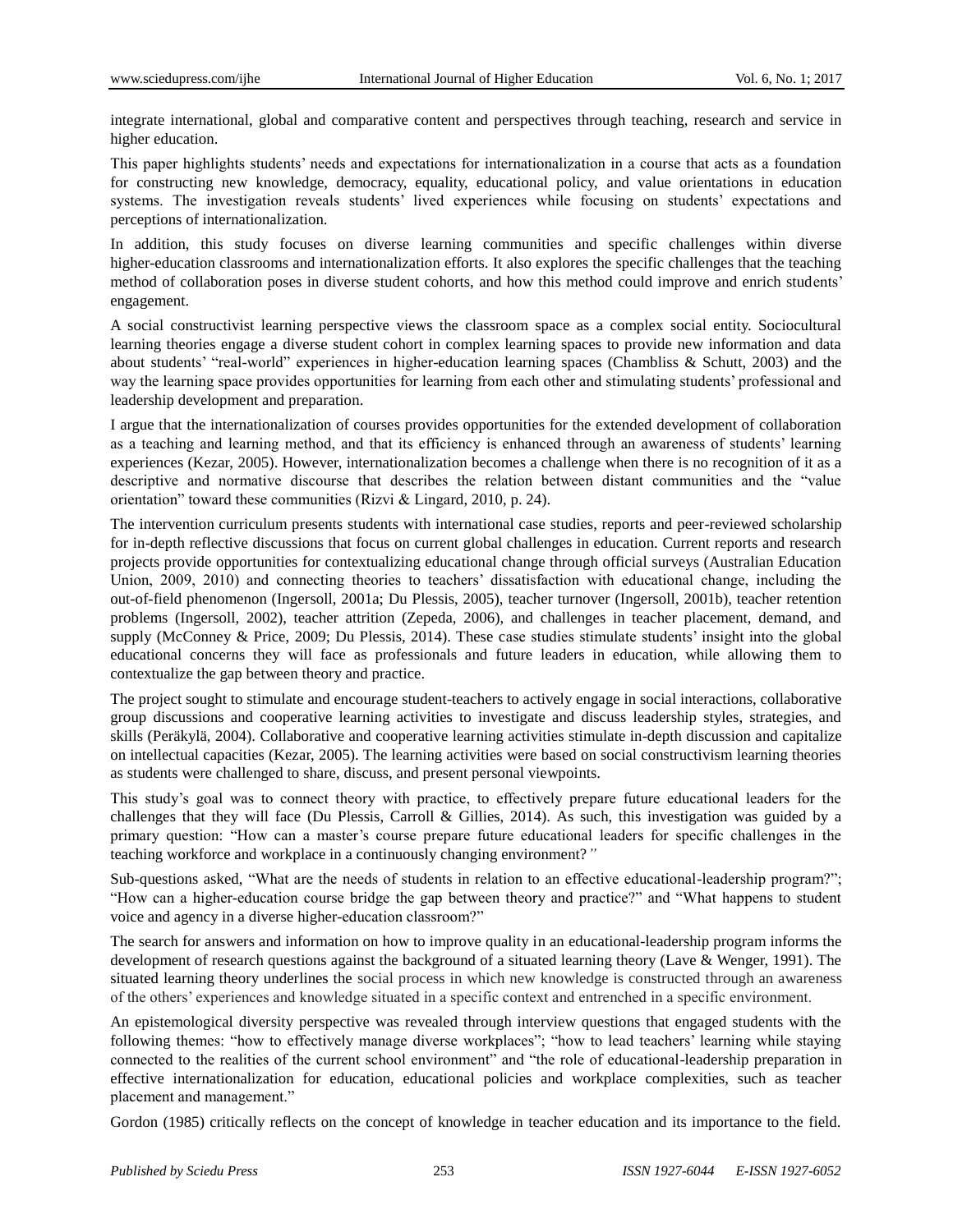integrate international, global and comparative content and perspectives through teaching, research and service in higher education.

This paper highlights students' needs and expectations for internationalization in a course that acts as a foundation for constructing new knowledge, democracy, equality, educational policy, and value orientations in education systems. The investigation reveals students' lived experiences while focusing on students' expectations and perceptions of internationalization.

In addition, this study focuses on diverse learning communities and specific challenges within diverse higher-education classrooms and internationalization efforts. It also explores the specific challenges that the teaching method of collaboration poses in diverse student cohorts, and how this method could improve and enrich students' engagement.

A social constructivist learning perspective views the classroom space as a complex social entity. Sociocultural learning theories engage a diverse student cohort in complex learning spaces to provide new information and data about students' "real-world" experiences in higher-education learning spaces (Chambliss & Schutt, 2003) and the way the learning space provides opportunities for learning from each other and stimulating students' professional and leadership development and preparation.

I argue that the internationalization of courses provides opportunities for the extended development of collaboration as a teaching and learning method, and that its efficiency is enhanced through an awareness of students' learning experiences (Kezar, 2005). However, internationalization becomes a challenge when there is no recognition of it as a descriptive and normative discourse that describes the relation between distant communities and the "value orientation" toward these communities (Rizvi & Lingard, 2010, p. 24).

The intervention curriculum presents students with international case studies, reports and peer-reviewed scholarship for in-depth reflective discussions that focus on current global challenges in education. Current reports and research projects provide opportunities for contextualizing educational change through official surveys (Australian Education Union, 2009, 2010) and connecting theories to teachers' dissatisfaction with educational change, including the out-of-field phenomenon (Ingersoll, 2001a; Du Plessis, 2005), teacher turnover (Ingersoll, 2001b), teacher retention problems (Ingersoll, 2002), teacher attrition (Zepeda, 2006), and challenges in teacher placement, demand, and supply (McConney & Price, 2009; Du Plessis, 2014). These case studies stimulate students' insight into the global educational concerns they will face as professionals and future leaders in education, while allowing them to contextualize the gap between theory and practice.

The project sought to stimulate and encourage student-teachers to actively engage in social interactions, collaborative group discussions and cooperative learning activities to investigate and discuss leadership styles, strategies, and skills (Peräkylä, 2004). Collaborative and cooperative learning activities stimulate in-depth discussion and capitalize on intellectual capacities (Kezar, 2005). The learning activities were based on social constructivism learning theories as students were challenged to share, discuss, and present personal viewpoints.

This study's goal was to connect theory with practice, to effectively prepare future educational leaders for the challenges that they will face (Du Plessis, Carroll & Gillies, 2014). As such, this investigation was guided by a primary question: "How can a master's course prepare future educational leaders for specific challenges in the teaching workforce and workplace in a continuously changing environment?*"* 

Sub-questions asked, "What are the needs of students in relation to an effective educational-leadership program?"; "How can a higher-education course bridge the gap between theory and practice?" and "What happens to student voice and agency in a diverse higher-education classroom?"

The search for answers and information on how to improve quality in an educational-leadership program informs the development of research questions against the background of a situated learning theory (Lave & Wenger, 1991). The situated learning theory underlines the social process in which new knowledge is constructed through an awareness of the others' experiences and knowledge situated in a specific context and entrenched in a specific environment.

An epistemological diversity perspective was revealed through interview questions that engaged students with the following themes: "how to effectively manage diverse workplaces"; "how to lead teachers' learning while staying connected to the realities of the current school environment" and "the role of educational-leadership preparation in effective internationalization for education, educational policies and workplace complexities, such as teacher placement and management."

Gordon (1985) critically reflects on the concept of knowledge in teacher education and its importance to the field.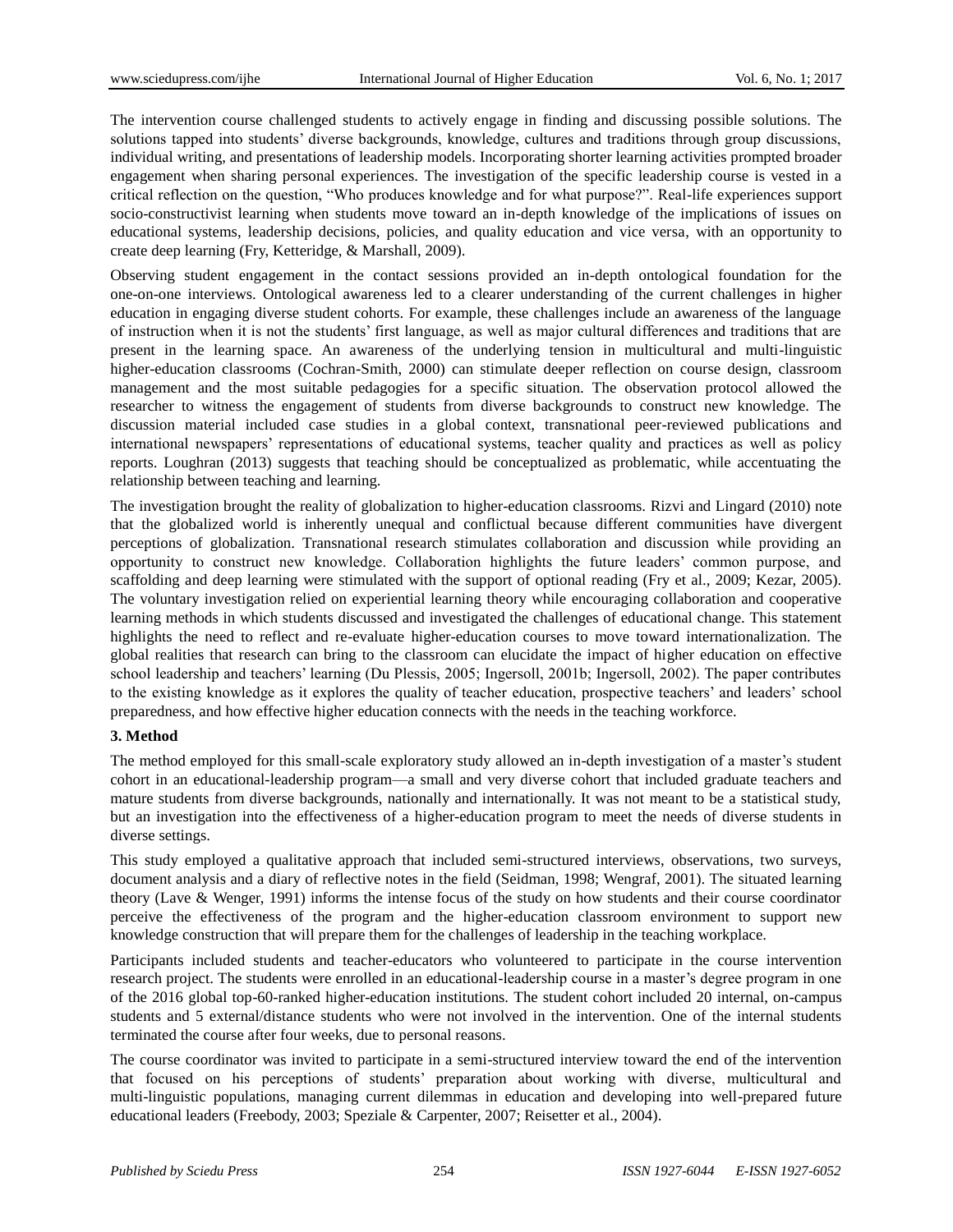The intervention course challenged students to actively engage in finding and discussing possible solutions. The solutions tapped into students' diverse backgrounds, knowledge, cultures and traditions through group discussions, individual writing, and presentations of leadership models. Incorporating shorter learning activities prompted broader engagement when sharing personal experiences. The investigation of the specific leadership course is vested in a critical reflection on the question, "Who produces knowledge and for what purpose?". Real-life experiences support socio-constructivist learning when students move toward an in-depth knowledge of the implications of issues on educational systems, leadership decisions, policies, and quality education and vice versa*,* with an opportunity to create deep learning (Fry, Ketteridge, & Marshall, 2009).

Observing student engagement in the contact sessions provided an in-depth ontological foundation for the one-on-one interviews. Ontological awareness led to a clearer understanding of the current challenges in higher education in engaging diverse student cohorts. For example, these challenges include an awareness of the language of instruction when it is not the students' first language, as well as major cultural differences and traditions that are present in the learning space. An awareness of the underlying tension in multicultural and multi-linguistic higher-education classrooms (Cochran-Smith, 2000) can stimulate deeper reflection on course design, classroom management and the most suitable pedagogies for a specific situation. The observation protocol allowed the researcher to witness the engagement of students from diverse backgrounds to construct new knowledge. The discussion material included case studies in a global context, transnational peer-reviewed publications and international newspapers' representations of educational systems, teacher quality and practices as well as policy reports. Loughran (2013) suggests that teaching should be conceptualized as problematic, while accentuating the relationship between teaching and learning.

The investigation brought the reality of globalization to higher-education classrooms. Rizvi and Lingard (2010) note that the globalized world is inherently unequal and conflictual because different communities have divergent perceptions of globalization. Transnational research stimulates collaboration and discussion while providing an opportunity to construct new knowledge. Collaboration highlights the future leaders' common purpose, and scaffolding and deep learning were stimulated with the support of optional reading (Fry et al., 2009; Kezar, 2005). The voluntary investigation relied on experiential learning theory while encouraging collaboration and cooperative learning methods in which students discussed and investigated the challenges of educational change. This statement highlights the need to reflect and re-evaluate higher-education courses to move toward internationalization. The global realities that research can bring to the classroom can elucidate the impact of higher education on effective school leadership and teachers' learning (Du Plessis, 2005; Ingersoll, 2001b; Ingersoll, 2002). The paper contributes to the existing knowledge as it explores the quality of teacher education, prospective teachers' and leaders' school preparedness, and how effective higher education connects with the needs in the teaching workforce.

## **3. Method**

The method employed for this small-scale exploratory study allowed an in-depth investigation of a master's student cohort in an educational-leadership program—a small and very diverse cohort that included graduate teachers and mature students from diverse backgrounds, nationally and internationally. It was not meant to be a statistical study, but an investigation into the effectiveness of a higher-education program to meet the needs of diverse students in diverse settings.

This study employed a qualitative approach that included semi-structured interviews, observations, two surveys, document analysis and a diary of reflective notes in the field (Seidman, 1998; Wengraf, 2001). The situated learning theory (Lave & Wenger, 1991) informs the intense focus of the study on how students and their course coordinator perceive the effectiveness of the program and the higher-education classroom environment to support new knowledge construction that will prepare them for the challenges of leadership in the teaching workplace.

Participants included students and teacher-educators who volunteered to participate in the course intervention research project. The students were enrolled in an educational-leadership course in a master's degree program in one of the 2016 global top-60-ranked higher-education institutions. The student cohort included 20 internal, on-campus students and 5 external/distance students who were not involved in the intervention. One of the internal students terminated the course after four weeks, due to personal reasons.

The course coordinator was invited to participate in a semi-structured interview toward the end of the intervention that focused on his perceptions of students' preparation about working with diverse, multicultural and multi-linguistic populations, managing current dilemmas in education and developing into well-prepared future educational leaders (Freebody, 2003; Speziale & Carpenter, 2007; Reisetter et al., 2004).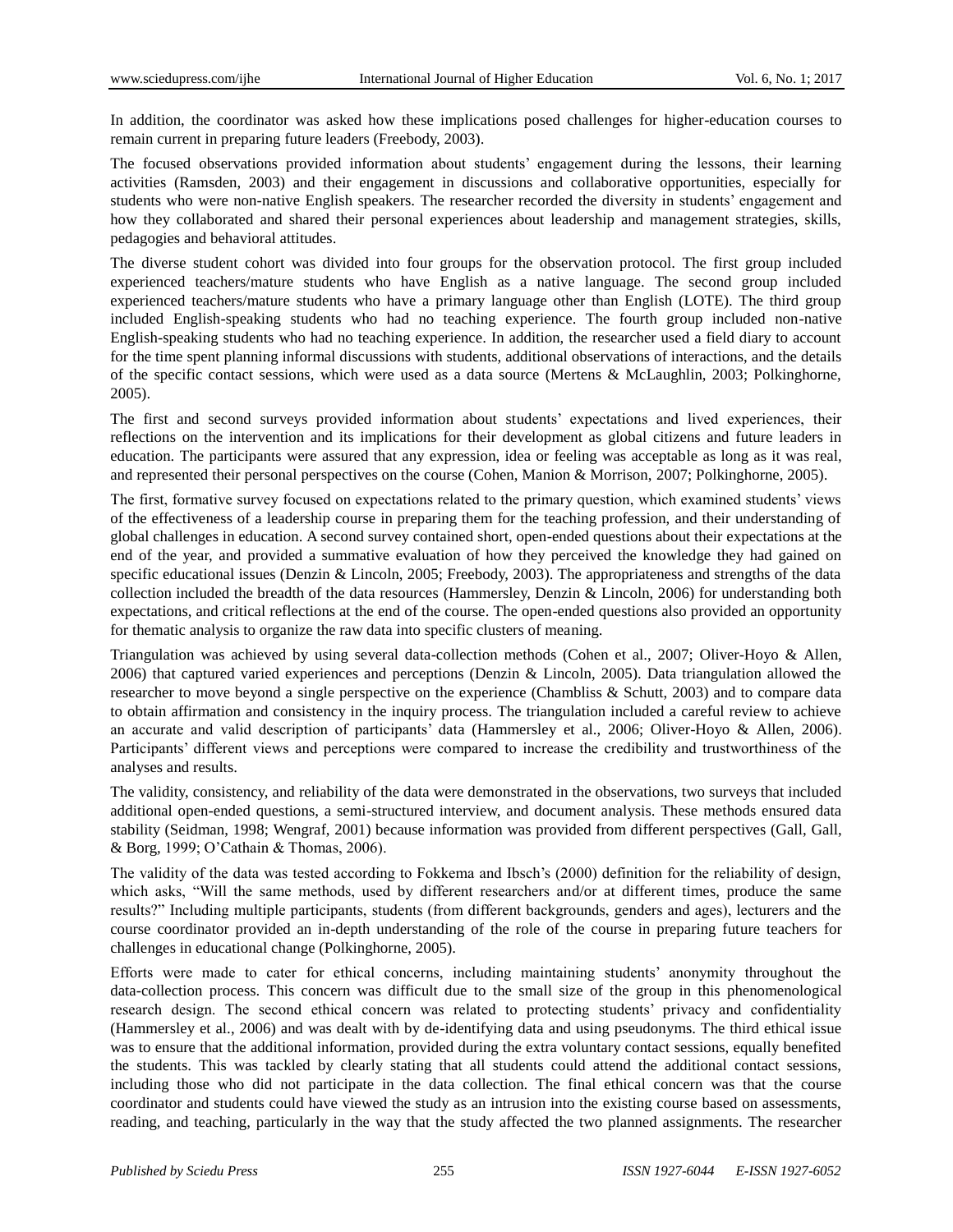In addition, the coordinator was asked how these implications posed challenges for higher-education courses to remain current in preparing future leaders (Freebody, 2003).

The focused observations provided information about students' engagement during the lessons, their learning activities (Ramsden, 2003) and their engagement in discussions and collaborative opportunities, especially for students who were non-native English speakers. The researcher recorded the diversity in students' engagement and how they collaborated and shared their personal experiences about leadership and management strategies, skills, pedagogies and behavioral attitudes.

The diverse student cohort was divided into four groups for the observation protocol. The first group included experienced teachers/mature students who have English as a native language. The second group included experienced teachers/mature students who have a primary language other than English (LOTE). The third group included English-speaking students who had no teaching experience. The fourth group included non-native English-speaking students who had no teaching experience. In addition, the researcher used a field diary to account for the time spent planning informal discussions with students, additional observations of interactions, and the details of the specific contact sessions, which were used as a data source (Mertens & McLaughlin, 2003; Polkinghorne, 2005).

The first and second surveys provided information about students' expectations and lived experiences, their reflections on the intervention and its implications for their development as global citizens and future leaders in education. The participants were assured that any expression, idea or feeling was acceptable as long as it was real, and represented their personal perspectives on the course (Cohen, Manion & Morrison, 2007; Polkinghorne, 2005).

The first, formative survey focused on expectations related to the primary question, which examined students' views of the effectiveness of a leadership course in preparing them for the teaching profession, and their understanding of global challenges in education. A second survey contained short, open-ended questions about their expectations at the end of the year, and provided a summative evaluation of how they perceived the knowledge they had gained on specific educational issues (Denzin & Lincoln, 2005; Freebody, 2003). The appropriateness and strengths of the data collection included the breadth of the data resources (Hammersley, Denzin & Lincoln, 2006) for understanding both expectations, and critical reflections at the end of the course. The open-ended questions also provided an opportunity for thematic analysis to organize the raw data into specific clusters of meaning.

Triangulation was achieved by using several data-collection methods (Cohen et al., 2007; Oliver-Hoyo & Allen, 2006) that captured varied experiences and perceptions (Denzin & Lincoln, 2005). Data triangulation allowed the researcher to move beyond a single perspective on the experience (Chambliss & Schutt, 2003) and to compare data to obtain affirmation and consistency in the inquiry process. The triangulation included a careful review to achieve an accurate and valid description of participants' data (Hammersley et al., 2006; Oliver-Hoyo & Allen, 2006). Participants' different views and perceptions were compared to increase the credibility and trustworthiness of the analyses and results.

The validity, consistency, and reliability of the data were demonstrated in the observations, two surveys that included additional open-ended questions, a semi-structured interview, and document analysis. These methods ensured data stability (Seidman, 1998; Wengraf, 2001) because information was provided from different perspectives (Gall, Gall, & Borg*,* 1999; O'Cathain & Thomas, 2006).

The validity of the data was tested according to Fokkema and Ibsch's (2000) definition for the reliability of design, which asks, "Will the same methods, used by different researchers and/or at different times, produce the same results?" Including multiple participants, students (from different backgrounds, genders and ages), lecturers and the course coordinator provided an in-depth understanding of the role of the course in preparing future teachers for challenges in educational change (Polkinghorne, 2005).

Efforts were made to cater for ethical concerns, including maintaining students' anonymity throughout the data-collection process. This concern was difficult due to the small size of the group in this phenomenological research design. The second ethical concern was related to protecting students' privacy and confidentiality (Hammersley et al., 2006) and was dealt with by de-identifying data and using pseudonyms. The third ethical issue was to ensure that the additional information, provided during the extra voluntary contact sessions, equally benefited the students. This was tackled by clearly stating that all students could attend the additional contact sessions, including those who did not participate in the data collection. The final ethical concern was that the course coordinator and students could have viewed the study as an intrusion into the existing course based on assessments, reading, and teaching, particularly in the way that the study affected the two planned assignments. The researcher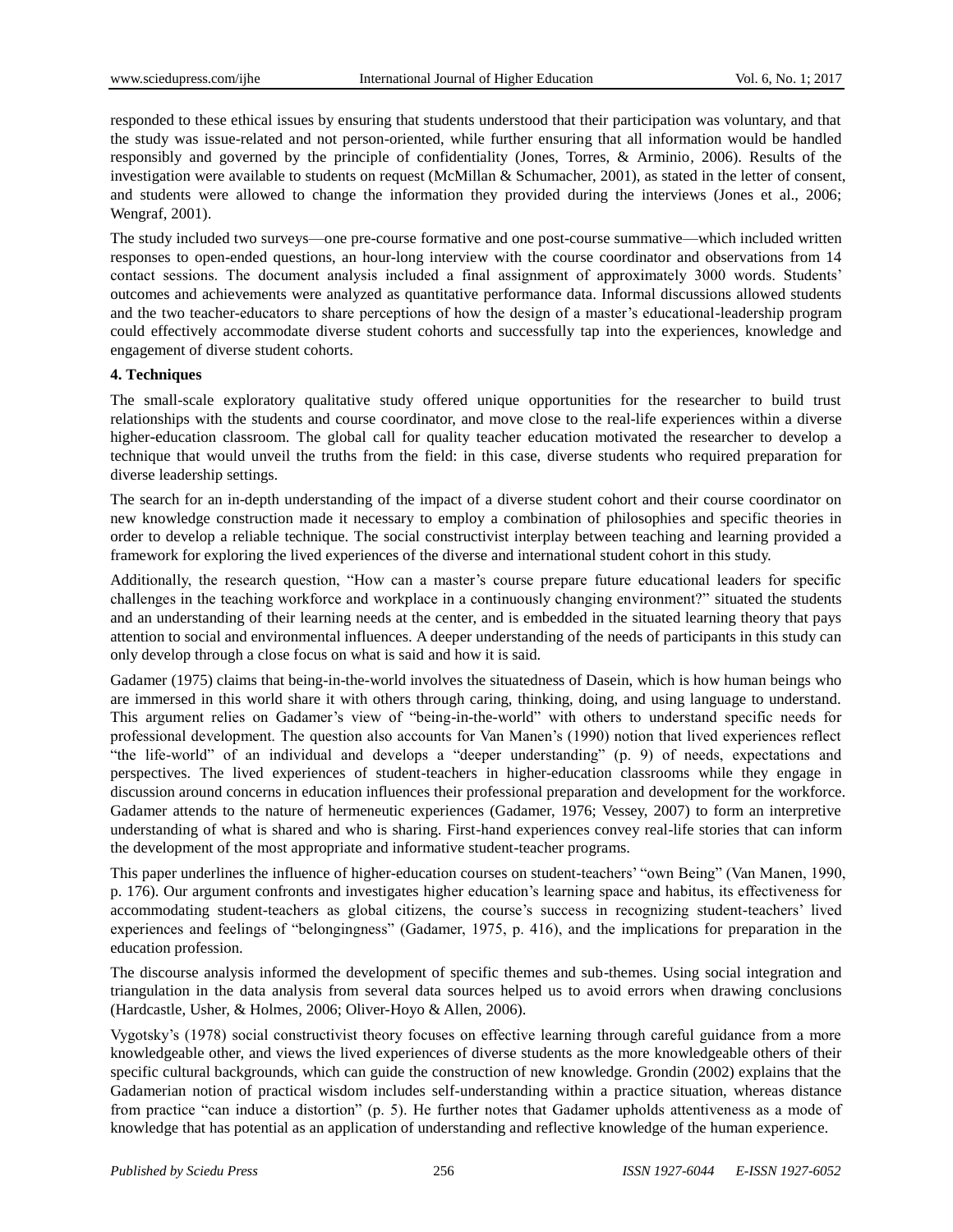responded to these ethical issues by ensuring that students understood that their participation was voluntary, and that the study was issue-related and not person-oriented, while further ensuring that all information would be handled responsibly and governed by the principle of confidentiality (Jones, Torres, & Arminio*,* 2006). Results of the investigation were available to students on request (McMillan & Schumacher, 2001), as stated in the letter of consent, and students were allowed to change the information they provided during the interviews (Jones et al., 2006; Wengraf, 2001).

The study included two surveys—one pre-course formative and one post-course summative—which included written responses to open-ended questions, an hour-long interview with the course coordinator and observations from 14 contact sessions. The document analysis included a final assignment of approximately 3000 words. Students' outcomes and achievements were analyzed as quantitative performance data. Informal discussions allowed students and the two teacher-educators to share perceptions of how the design of a master's educational-leadership program could effectively accommodate diverse student cohorts and successfully tap into the experiences, knowledge and engagement of diverse student cohorts.

## **4. Techniques**

The small-scale exploratory qualitative study offered unique opportunities for the researcher to build trust relationships with the students and course coordinator, and move close to the real-life experiences within a diverse higher-education classroom. The global call for quality teacher education motivated the researcher to develop a technique that would unveil the truths from the field: in this case, diverse students who required preparation for diverse leadership settings.

The search for an in-depth understanding of the impact of a diverse student cohort and their course coordinator on new knowledge construction made it necessary to employ a combination of philosophies and specific theories in order to develop a reliable technique. The social constructivist interplay between teaching and learning provided a framework for exploring the lived experiences of the diverse and international student cohort in this study.

Additionally, the research question, "How can a master's course prepare future educational leaders for specific challenges in the teaching workforce and workplace in a continuously changing environment?" situated the students and an understanding of their learning needs at the center, and is embedded in the situated learning theory that pays attention to social and environmental influences. A deeper understanding of the needs of participants in this study can only develop through a close focus on what is said and how it is said.

Gadamer (1975) claims that being-in-the-world involves the situatedness of Dasein, which is how human beings who are immersed in this world share it with others through caring, thinking, doing, and using language to understand. This argument relies on Gadamer's view of "being-in-the-world" with others to understand specific needs for professional development. The question also accounts for Van Manen's (1990) notion that lived experiences reflect "the life-world" of an individual and develops a "deeper understanding" (p. 9) of needs, expectations and perspectives. The lived experiences of student-teachers in higher-education classrooms while they engage in discussion around concerns in education influences their professional preparation and development for the workforce. Gadamer attends to the nature of hermeneutic experiences (Gadamer, 1976; Vessey, 2007) to form an interpretive understanding of what is shared and who is sharing. First-hand experiences convey real-life stories that can inform the development of the most appropriate and informative student-teacher programs.

This paper underlines the influence of higher-education courses on student-teachers' "own Being" (Van Manen, 1990, p. 176). Our argument confronts and investigates higher education's learning space and habitus, its effectiveness for accommodating student-teachers as global citizens, the course's success in recognizing student-teachers' lived experiences and feelings of "belongingness" (Gadamer, 1975, p. 416), and the implications for preparation in the education profession.

The discourse analysis informed the development of specific themes and sub-themes. Using social integration and triangulation in the data analysis from several data sources helped us to avoid errors when drawing conclusions (Hardcastle, Usher, & Holmes*,* 2006; Oliver-Hoyo & Allen, 2006).

Vygotsky's (1978) social constructivist theory focuses on effective learning through careful guidance from a more knowledgeable other, and views the lived experiences of diverse students as the more knowledgeable others of their specific cultural backgrounds, which can guide the construction of new knowledge. Grondin (2002) explains that the Gadamerian notion of practical wisdom includes self-understanding within a practice situation, whereas distance from practice "can induce a distortion" (p. 5). He further notes that Gadamer upholds attentiveness as a mode of knowledge that has potential as an application of understanding and reflective knowledge of the human experience.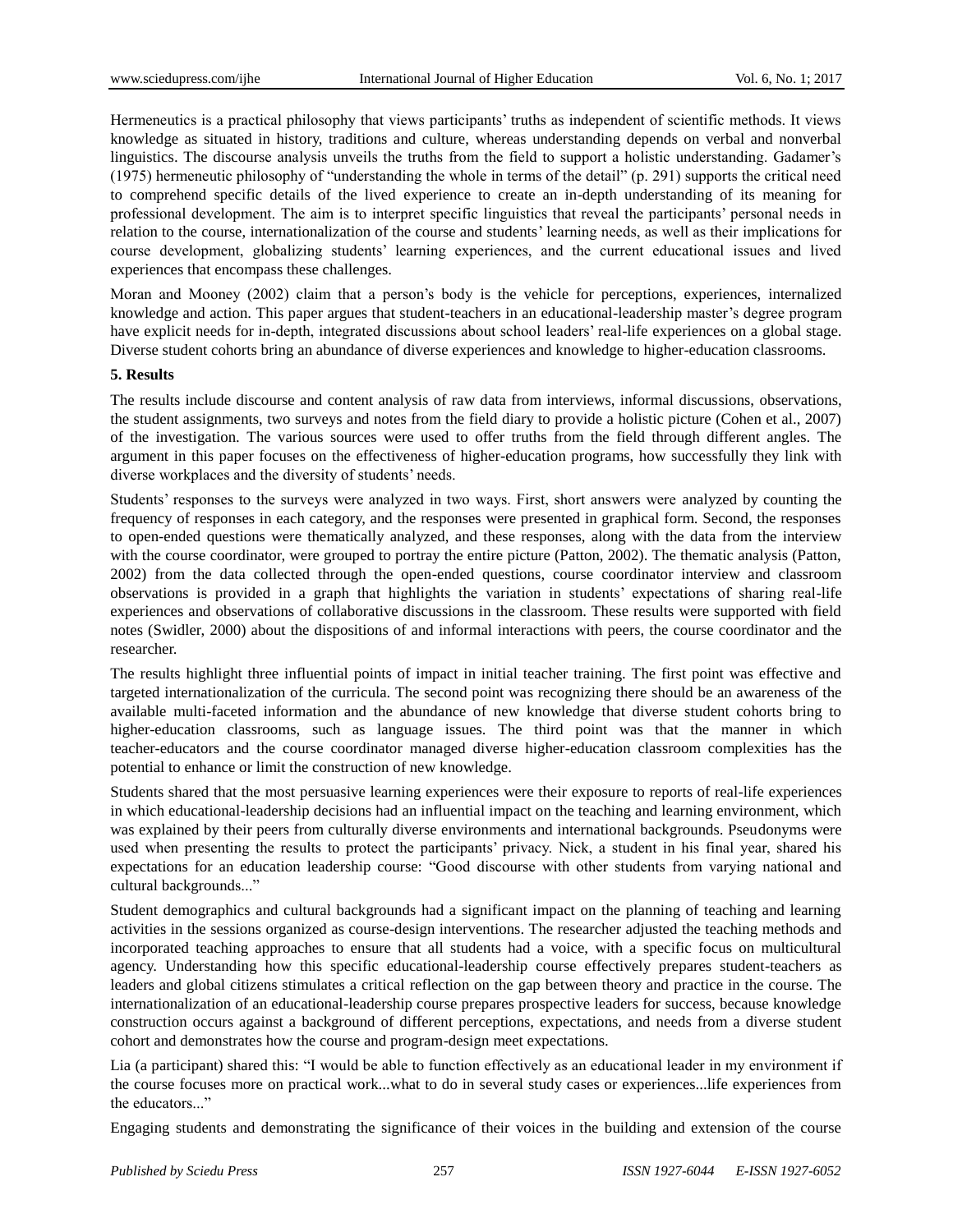Hermeneutics is a practical philosophy that views participants' truths as independent of scientific methods. It views knowledge as situated in history, traditions and culture, whereas understanding depends on verbal and nonverbal linguistics. The discourse analysis unveils the truths from the field to support a holistic understanding. Gadamer's (1975) hermeneutic philosophy of "understanding the whole in terms of the detail" (p. 291) supports the critical need to comprehend specific details of the lived experience to create an in-depth understanding of its meaning for professional development. The aim is to interpret specific linguistics that reveal the participants' personal needs in relation to the course, internationalization of the course and students' learning needs, as well as their implications for course development, globalizing students' learning experiences, and the current educational issues and lived experiences that encompass these challenges.

Moran and Mooney (2002) claim that a person's body is the vehicle for perceptions, experiences, internalized knowledge and action. This paper argues that student-teachers in an educational-leadership master's degree program have explicit needs for in-depth, integrated discussions about school leaders' real-life experiences on a global stage. Diverse student cohorts bring an abundance of diverse experiences and knowledge to higher-education classrooms.

## **5. Results**

The results include discourse and content analysis of raw data from interviews, informal discussions, observations, the student assignments, two surveys and notes from the field diary to provide a holistic picture (Cohen et al., 2007) of the investigation. The various sources were used to offer truths from the field through different angles. The argument in this paper focuses on the effectiveness of higher-education programs, how successfully they link with diverse workplaces and the diversity of students' needs.

Students' responses to the surveys were analyzed in two ways. First, short answers were analyzed by counting the frequency of responses in each category, and the responses were presented in graphical form. Second, the responses to open-ended questions were thematically analyzed, and these responses, along with the data from the interview with the course coordinator, were grouped to portray the entire picture (Patton, 2002). The thematic analysis (Patton, 2002) from the data collected through the open-ended questions, course coordinator interview and classroom observations is provided in a graph that highlights the variation in students' expectations of sharing real-life experiences and observations of collaborative discussions in the classroom. These results were supported with field notes (Swidler, 2000) about the dispositions of and informal interactions with peers, the course coordinator and the researcher.

The results highlight three influential points of impact in initial teacher training. The first point was effective and targeted internationalization of the curricula. The second point was recognizing there should be an awareness of the available multi-faceted information and the abundance of new knowledge that diverse student cohorts bring to higher-education classrooms, such as language issues. The third point was that the manner in which teacher-educators and the course coordinator managed diverse higher-education classroom complexities has the potential to enhance or limit the construction of new knowledge.

Students shared that the most persuasive learning experiences were their exposure to reports of real-life experiences in which educational-leadership decisions had an influential impact on the teaching and learning environment, which was explained by their peers from culturally diverse environments and international backgrounds. Pseudonyms were used when presenting the results to protect the participants' privacy. Nick, a student in his final year, shared his expectations for an education leadership course: "Good discourse with other students from varying national and cultural backgrounds..."

Student demographics and cultural backgrounds had a significant impact on the planning of teaching and learning activities in the sessions organized as course-design interventions. The researcher adjusted the teaching methods and incorporated teaching approaches to ensure that all students had a voice, with a specific focus on multicultural agency. Understanding how this specific educational-leadership course effectively prepares student-teachers as leaders and global citizens stimulates a critical reflection on the gap between theory and practice in the course. The internationalization of an educational-leadership course prepares prospective leaders for success, because knowledge construction occurs against a background of different perceptions, expectations, and needs from a diverse student cohort and demonstrates how the course and program-design meet expectations.

Lia (a participant) shared this: "I would be able to function effectively as an educational leader in my environment if the course focuses more on practical work...what to do in several study cases or experiences...life experiences from the educators..."

Engaging students and demonstrating the significance of their voices in the building and extension of the course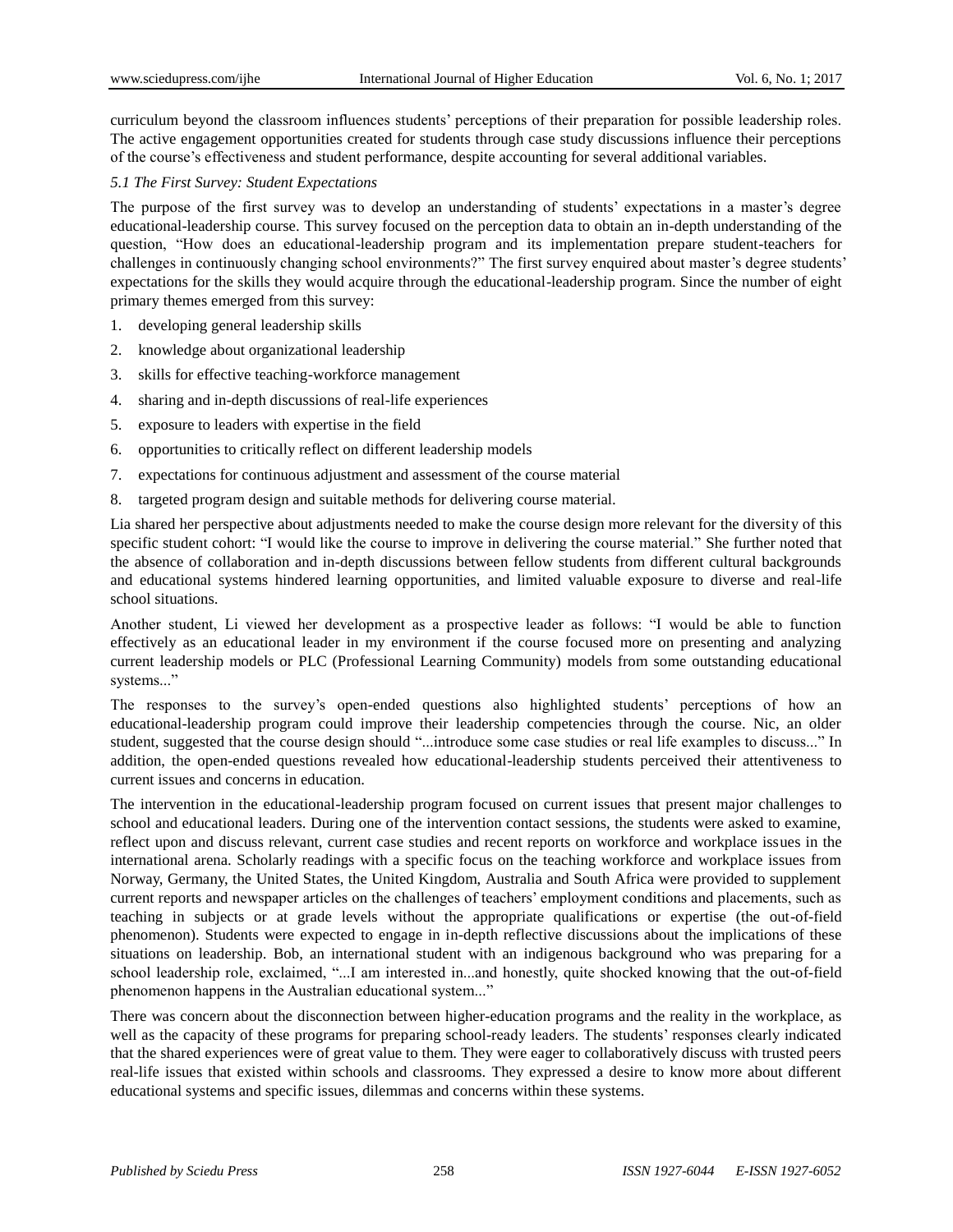curriculum beyond the classroom influences students' perceptions of their preparation for possible leadership roles. The active engagement opportunities created for students through case study discussions influence their perceptions of the course's effectiveness and student performance, despite accounting for several additional variables.

## *5.1 The First Survey: Student Expectations*

The purpose of the first survey was to develop an understanding of students' expectations in a master's degree educational-leadership course. This survey focused on the perception data to obtain an in-depth understanding of the question, "How does an educational-leadership program and its implementation prepare student-teachers for challenges in continuously changing school environments?" The first survey enquired about master's degree students' expectations for the skills they would acquire through the educational-leadership program. Since the number of eight primary themes emerged from this survey:

- 1. developing general leadership skills
- 2. knowledge about organizational leadership
- 3. skills for effective teaching-workforce management
- 4. sharing and in-depth discussions of real-life experiences
- 5. exposure to leaders with expertise in the field
- 6. opportunities to critically reflect on different leadership models
- 7. expectations for continuous adjustment and assessment of the course material
- 8. targeted program design and suitable methods for delivering course material.

Lia shared her perspective about adjustments needed to make the course design more relevant for the diversity of this specific student cohort: "I would like the course to improve in delivering the course material." She further noted that the absence of collaboration and in-depth discussions between fellow students from different cultural backgrounds and educational systems hindered learning opportunities, and limited valuable exposure to diverse and real-life school situations.

Another student, Li viewed her development as a prospective leader as follows: "I would be able to function effectively as an educational leader in my environment if the course focused more on presenting and analyzing current leadership models or PLC (Professional Learning Community) models from some outstanding educational systems..."

The responses to the survey's open-ended questions also highlighted students' perceptions of how an educational-leadership program could improve their leadership competencies through the course. Nic, an older student, suggested that the course design should "...introduce some case studies or real life examples to discuss..." In addition, the open-ended questions revealed how educational-leadership students perceived their attentiveness to current issues and concerns in education.

The intervention in the educational-leadership program focused on current issues that present major challenges to school and educational leaders. During one of the intervention contact sessions, the students were asked to examine, reflect upon and discuss relevant, current case studies and recent reports on workforce and workplace issues in the international arena. Scholarly readings with a specific focus on the teaching workforce and workplace issues from Norway, Germany, the United States, the United Kingdom, Australia and South Africa were provided to supplement current reports and newspaper articles on the challenges of teachers' employment conditions and placements, such as teaching in subjects or at grade levels without the appropriate qualifications or expertise (the out-of-field phenomenon). Students were expected to engage in in-depth reflective discussions about the implications of these situations on leadership. Bob, an international student with an indigenous background who was preparing for a school leadership role, exclaimed, "...I am interested in...and honestly, quite shocked knowing that the out-of-field phenomenon happens in the Australian educational system..."

There was concern about the disconnection between higher-education programs and the reality in the workplace, as well as the capacity of these programs for preparing school-ready leaders. The students' responses clearly indicated that the shared experiences were of great value to them. They were eager to collaboratively discuss with trusted peers real-life issues that existed within schools and classrooms. They expressed a desire to know more about different educational systems and specific issues, dilemmas and concerns within these systems.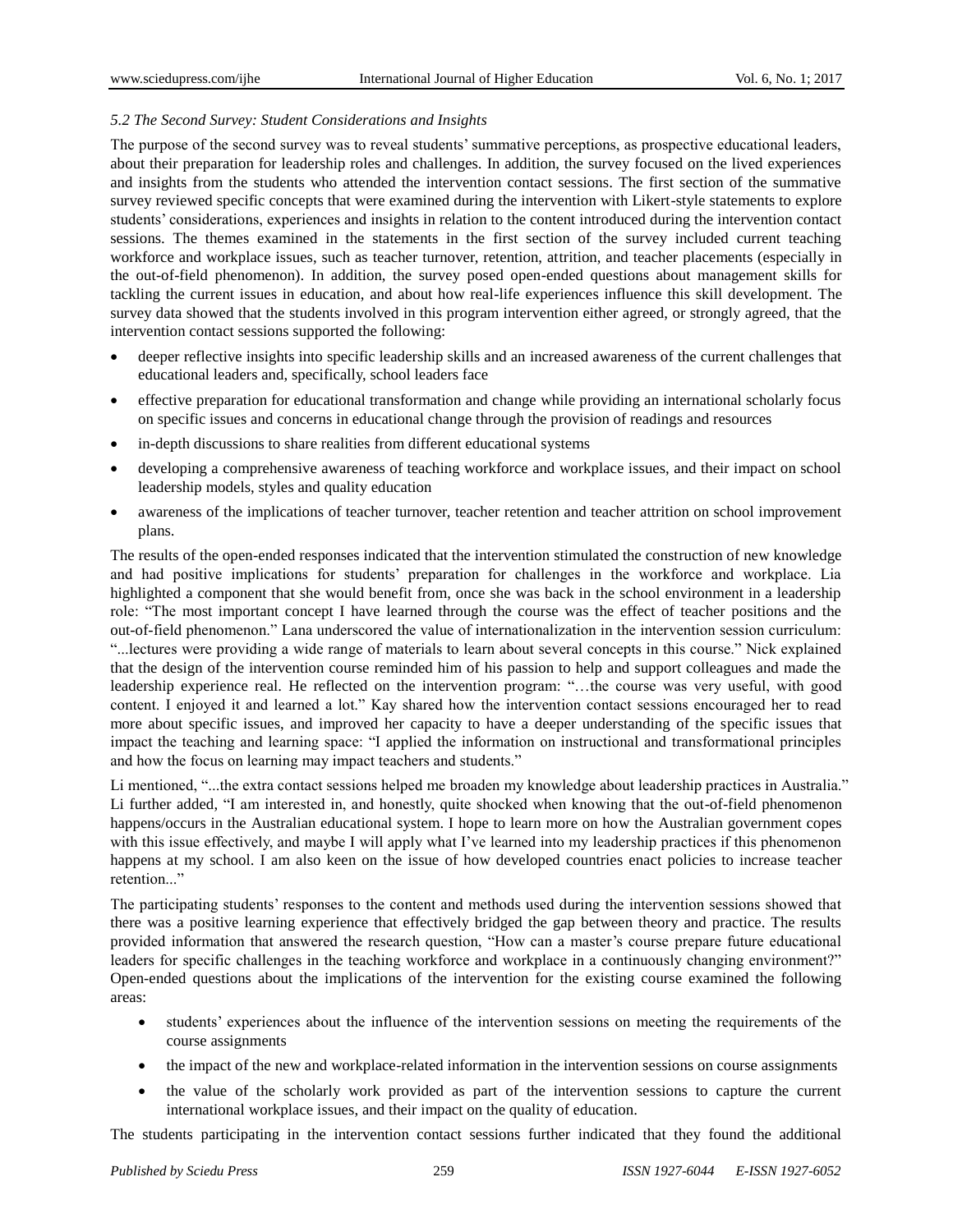## *5.2 The Second Survey: Student Considerations and Insights*

The purpose of the second survey was to reveal students' summative perceptions, as prospective educational leaders, about their preparation for leadership roles and challenges. In addition, the survey focused on the lived experiences and insights from the students who attended the intervention contact sessions. The first section of the summative survey reviewed specific concepts that were examined during the intervention with Likert-style statements to explore students' considerations, experiences and insights in relation to the content introduced during the intervention contact sessions. The themes examined in the statements in the first section of the survey included current teaching workforce and workplace issues, such as teacher turnover, retention, attrition, and teacher placements (especially in the out-of-field phenomenon). In addition, the survey posed open-ended questions about management skills for tackling the current issues in education, and about how real-life experiences influence this skill development. The survey data showed that the students involved in this program intervention either agreed, or strongly agreed, that the intervention contact sessions supported the following:

- deeper reflective insights into specific leadership skills and an increased awareness of the current challenges that educational leaders and, specifically, school leaders face
- effective preparation for educational transformation and change while providing an international scholarly focus on specific issues and concerns in educational change through the provision of readings and resources
- in-depth discussions to share realities from different educational systems
- developing a comprehensive awareness of teaching workforce and workplace issues, and their impact on school leadership models, styles and quality education
- awareness of the implications of teacher turnover, teacher retention and teacher attrition on school improvement plans.

The results of the open-ended responses indicated that the intervention stimulated the construction of new knowledge and had positive implications for students' preparation for challenges in the workforce and workplace. Lia highlighted a component that she would benefit from, once she was back in the school environment in a leadership role: "The most important concept I have learned through the course was the effect of teacher positions and the out-of-field phenomenon." Lana underscored the value of internationalization in the intervention session curriculum: "...lectures were providing a wide range of materials to learn about several concepts in this course." Nick explained that the design of the intervention course reminded him of his passion to help and support colleagues and made the leadership experience real. He reflected on the intervention program: "…the course was very useful, with good content. I enjoyed it and learned a lot." Kay shared how the intervention contact sessions encouraged her to read more about specific issues, and improved her capacity to have a deeper understanding of the specific issues that impact the teaching and learning space: "I applied the information on instructional and transformational principles and how the focus on learning may impact teachers and students."

Li mentioned, "...the extra contact sessions helped me broaden my knowledge about leadership practices in Australia." Li further added, "I am interested in, and honestly, quite shocked when knowing that the out-of-field phenomenon happens/occurs in the Australian educational system. I hope to learn more on how the Australian government copes with this issue effectively, and maybe I will apply what I've learned into my leadership practices if this phenomenon happens at my school. I am also keen on the issue of how developed countries enact policies to increase teacher retention..."

The participating students' responses to the content and methods used during the intervention sessions showed that there was a positive learning experience that effectively bridged the gap between theory and practice. The results provided information that answered the research question, "How can a master's course prepare future educational leaders for specific challenges in the teaching workforce and workplace in a continuously changing environment?" Open-ended questions about the implications of the intervention for the existing course examined the following areas:

- students' experiences about the influence of the intervention sessions on meeting the requirements of the course assignments
- the impact of the new and workplace-related information in the intervention sessions on course assignments
- the value of the scholarly work provided as part of the intervention sessions to capture the current international workplace issues, and their impact on the quality of education.

The students participating in the intervention contact sessions further indicated that they found the additional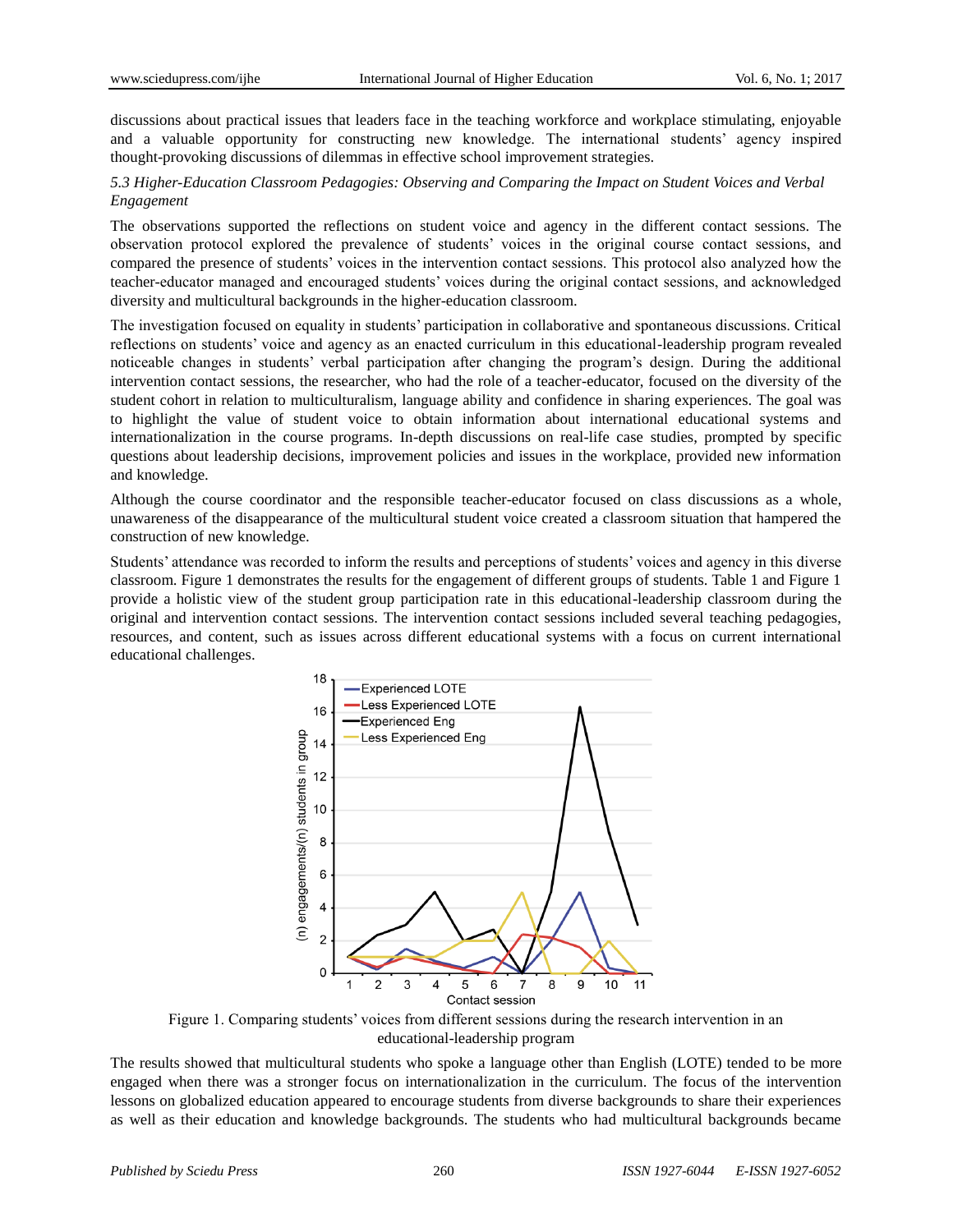discussions about practical issues that leaders face in the teaching workforce and workplace stimulating, enjoyable and a valuable opportunity for constructing new knowledge. The international students' agency inspired thought-provoking discussions of dilemmas in effective school improvement strategies.

# *5.3 Higher-Education Classroom Pedagogies: Observing and Comparing the Impact on Student Voices and Verbal Engagement*

The observations supported the reflections on student voice and agency in the different contact sessions. The observation protocol explored the prevalence of students' voices in the original course contact sessions, and compared the presence of students' voices in the intervention contact sessions. This protocol also analyzed how the teacher-educator managed and encouraged students' voices during the original contact sessions, and acknowledged diversity and multicultural backgrounds in the higher-education classroom.

The investigation focused on equality in students' participation in collaborative and spontaneous discussions. Critical reflections on students' voice and agency as an enacted curriculum in this educational-leadership program revealed noticeable changes in students' verbal participation after changing the program's design. During the additional intervention contact sessions, the researcher, who had the role of a teacher-educator, focused on the diversity of the student cohort in relation to multiculturalism, language ability and confidence in sharing experiences. The goal was to highlight the value of student voice to obtain information about international educational systems and internationalization in the course programs. In-depth discussions on real-life case studies, prompted by specific questions about leadership decisions, improvement policies and issues in the workplace, provided new information and knowledge.

Although the course coordinator and the responsible teacher-educator focused on class discussions as a whole, unawareness of the disappearance of the multicultural student voice created a classroom situation that hampered the construction of new knowledge.

Students' attendance was recorded to inform the results and perceptions of students' voices and agency in this diverse classroom. Figure 1 demonstrates the results for the engagement of different groups of students. Table 1 and Figure 1 provide a holistic view of the student group participation rate in this educational-leadership classroom during the original and intervention contact sessions. The intervention contact sessions included several teaching pedagogies, resources, and content, such as issues across different educational systems with a focus on current international educational challenges.



Figure 1. Comparing students' voices from different sessions during the research intervention in an educational-leadership program

The results showed that multicultural students who spoke a language other than English (LOTE) tended to be more engaged when there was a stronger focus on internationalization in the curriculum. The focus of the intervention lessons on globalized education appeared to encourage students from diverse backgrounds to share their experiences as well as their education and knowledge backgrounds. The students who had multicultural backgrounds became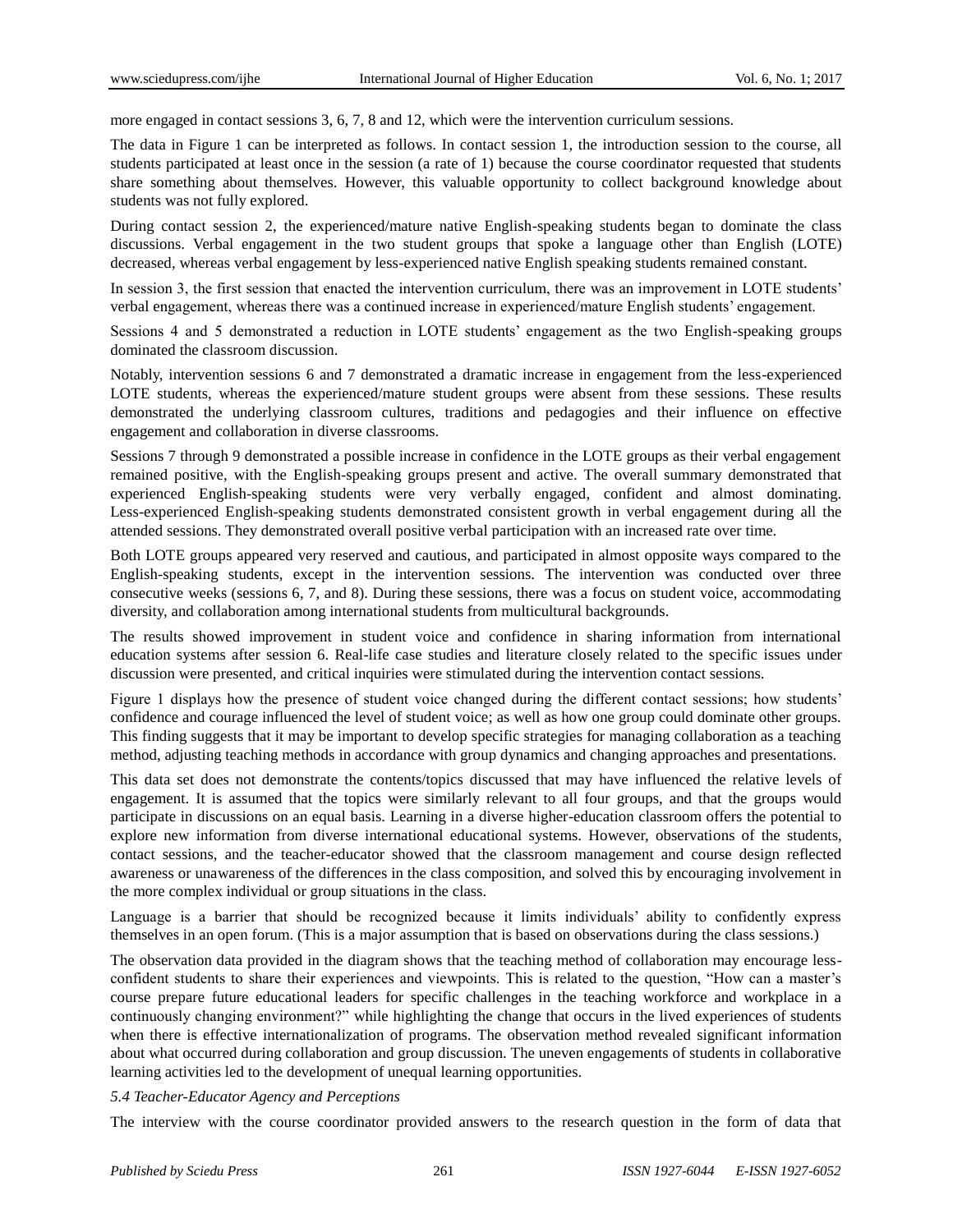more engaged in contact sessions 3, 6, 7, 8 and 12, which were the intervention curriculum sessions.

The data in Figure 1 can be interpreted as follows. In contact session 1, the introduction session to the course, all students participated at least once in the session (a rate of 1) because the course coordinator requested that students share something about themselves. However, this valuable opportunity to collect background knowledge about students was not fully explored.

During contact session 2, the experienced/mature native English-speaking students began to dominate the class discussions. Verbal engagement in the two student groups that spoke a language other than English (LOTE) decreased, whereas verbal engagement by less-experienced native English speaking students remained constant.

In session 3, the first session that enacted the intervention curriculum, there was an improvement in LOTE students' verbal engagement, whereas there was a continued increase in experienced/mature English students' engagement.

Sessions 4 and 5 demonstrated a reduction in LOTE students' engagement as the two English-speaking groups dominated the classroom discussion.

Notably, intervention sessions 6 and 7 demonstrated a dramatic increase in engagement from the less-experienced LOTE students, whereas the experienced/mature student groups were absent from these sessions. These results demonstrated the underlying classroom cultures, traditions and pedagogies and their influence on effective engagement and collaboration in diverse classrooms.

Sessions 7 through 9 demonstrated a possible increase in confidence in the LOTE groups as their verbal engagement remained positive, with the English-speaking groups present and active. The overall summary demonstrated that experienced English-speaking students were very verbally engaged, confident and almost dominating. Less-experienced English-speaking students demonstrated consistent growth in verbal engagement during all the attended sessions. They demonstrated overall positive verbal participation with an increased rate over time.

Both LOTE groups appeared very reserved and cautious, and participated in almost opposite ways compared to the English-speaking students, except in the intervention sessions. The intervention was conducted over three consecutive weeks (sessions 6, 7, and 8). During these sessions, there was a focus on student voice, accommodating diversity, and collaboration among international students from multicultural backgrounds.

The results showed improvement in student voice and confidence in sharing information from international education systems after session 6. Real-life case studies and literature closely related to the specific issues under discussion were presented, and critical inquiries were stimulated during the intervention contact sessions.

Figure 1 displays how the presence of student voice changed during the different contact sessions; how students' confidence and courage influenced the level of student voice; as well as how one group could dominate other groups. This finding suggests that it may be important to develop specific strategies for managing collaboration as a teaching method, adjusting teaching methods in accordance with group dynamics and changing approaches and presentations.

This data set does not demonstrate the contents/topics discussed that may have influenced the relative levels of engagement. It is assumed that the topics were similarly relevant to all four groups, and that the groups would participate in discussions on an equal basis. Learning in a diverse higher-education classroom offers the potential to explore new information from diverse international educational systems. However, observations of the students, contact sessions, and the teacher-educator showed that the classroom management and course design reflected awareness or unawareness of the differences in the class composition, and solved this by encouraging involvement in the more complex individual or group situations in the class.

Language is a barrier that should be recognized because it limits individuals' ability to confidently express themselves in an open forum. (This is a major assumption that is based on observations during the class sessions.)

The observation data provided in the diagram shows that the teaching method of collaboration may encourage lessconfident students to share their experiences and viewpoints. This is related to the question, "How can a master's course prepare future educational leaders for specific challenges in the teaching workforce and workplace in a continuously changing environment?" while highlighting the change that occurs in the lived experiences of students when there is effective internationalization of programs. The observation method revealed significant information about what occurred during collaboration and group discussion. The uneven engagements of students in collaborative learning activities led to the development of unequal learning opportunities.

## *5.4 Teacher-Educator Agency and Perceptions*

The interview with the course coordinator provided answers to the research question in the form of data that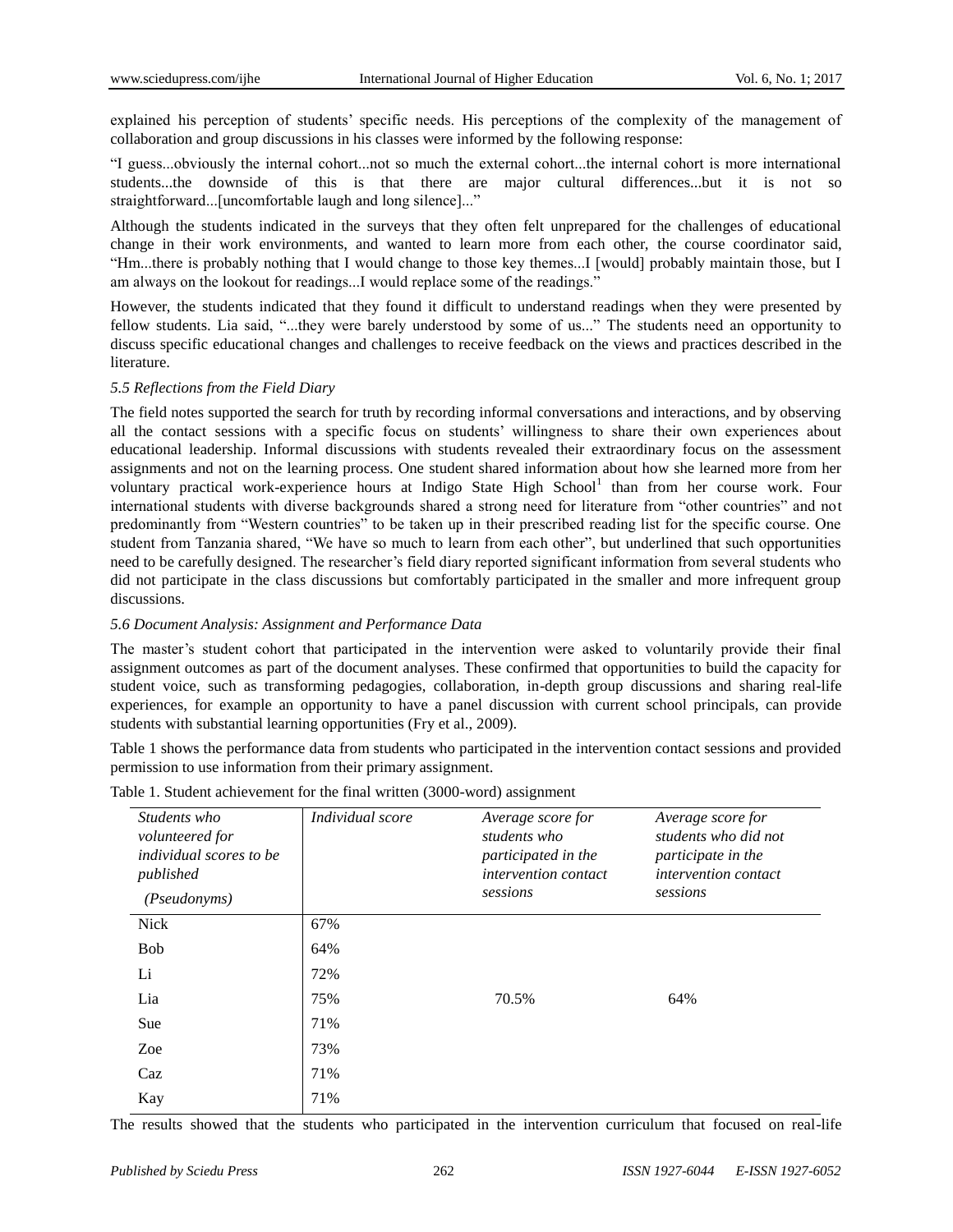explained his perception of students' specific needs. His perceptions of the complexity of the management of collaboration and group discussions in his classes were informed by the following response:

"I guess...obviously the internal cohort...not so much the external cohort...the internal cohort is more international students...the downside of this is that there are major cultural differences...but it is not so straightforward...[uncomfortable laugh and long silence]..."

Although the students indicated in the surveys that they often felt unprepared for the challenges of educational change in their work environments, and wanted to learn more from each other, the course coordinator said, "Hm...there is probably nothing that I would change to those key themes...I [would] probably maintain those, but I am always on the lookout for readings...I would replace some of the readings."

However, the students indicated that they found it difficult to understand readings when they were presented by fellow students. Lia said, "...they were barely understood by some of us..." The students need an opportunity to discuss specific educational changes and challenges to receive feedback on the views and practices described in the literature.

# *5.5 Reflections from the Field Diary*

The field notes supported the search for truth by recording informal conversations and interactions, and by observing all the contact sessions with a specific focus on students' willingness to share their own experiences about educational leadership. Informal discussions with students revealed their extraordinary focus on the assessment assignments and not on the learning process. One student shared information about how she learned more from her voluntary practical work-experience hours at Indigo State High School<sup>1</sup> than from her course work. Four international students with diverse backgrounds shared a strong need for literature from "other countries" and not predominantly from "Western countries" to be taken up in their prescribed reading list for the specific course. One student from Tanzania shared, "We have so much to learn from each other", but underlined that such opportunities need to be carefully designed. The researcher's field diary reported significant information from several students who did not participate in the class discussions but comfortably participated in the smaller and more infrequent group discussions.

# *5.6 Document Analysis: Assignment and Performance Data*

The master's student cohort that participated in the intervention were asked to voluntarily provide their final assignment outcomes as part of the document analyses. These confirmed that opportunities to build the capacity for student voice, such as transforming pedagogies, collaboration, in-depth group discussions and sharing real-life experiences, for example an opportunity to have a panel discussion with current school principals, can provide students with substantial learning opportunities (Fry et al., 2009).

Table 1 shows the performance data from students who participated in the intervention contact sessions and provided permission to use information from their primary assignment.

| Students who<br>volunteered for<br>individual scores to be<br>published<br><i>(Pseudonyms)</i> | Individual score | Average score for<br>students who<br>participated in the<br><i>intervention contact</i><br>sessions | Average score for<br>students who did not<br>participate in the<br><i>intervention contact</i><br>sessions |
|------------------------------------------------------------------------------------------------|------------------|-----------------------------------------------------------------------------------------------------|------------------------------------------------------------------------------------------------------------|
| <b>Nick</b>                                                                                    | 67%              |                                                                                                     |                                                                                                            |
| <b>Bob</b>                                                                                     | 64%              |                                                                                                     |                                                                                                            |
| Li                                                                                             | 72%              |                                                                                                     |                                                                                                            |
| Lia                                                                                            | 75%              | 70.5%                                                                                               | 64%                                                                                                        |
| Sue                                                                                            | 71%              |                                                                                                     |                                                                                                            |
| Zoe                                                                                            | 73%              |                                                                                                     |                                                                                                            |
| Caz                                                                                            | 71%              |                                                                                                     |                                                                                                            |
| Kay                                                                                            | 71%              |                                                                                                     |                                                                                                            |

Table 1. Student achievement for the final written (3000-word) assignment

The results showed that the students who participated in the intervention curriculum that focused on real-life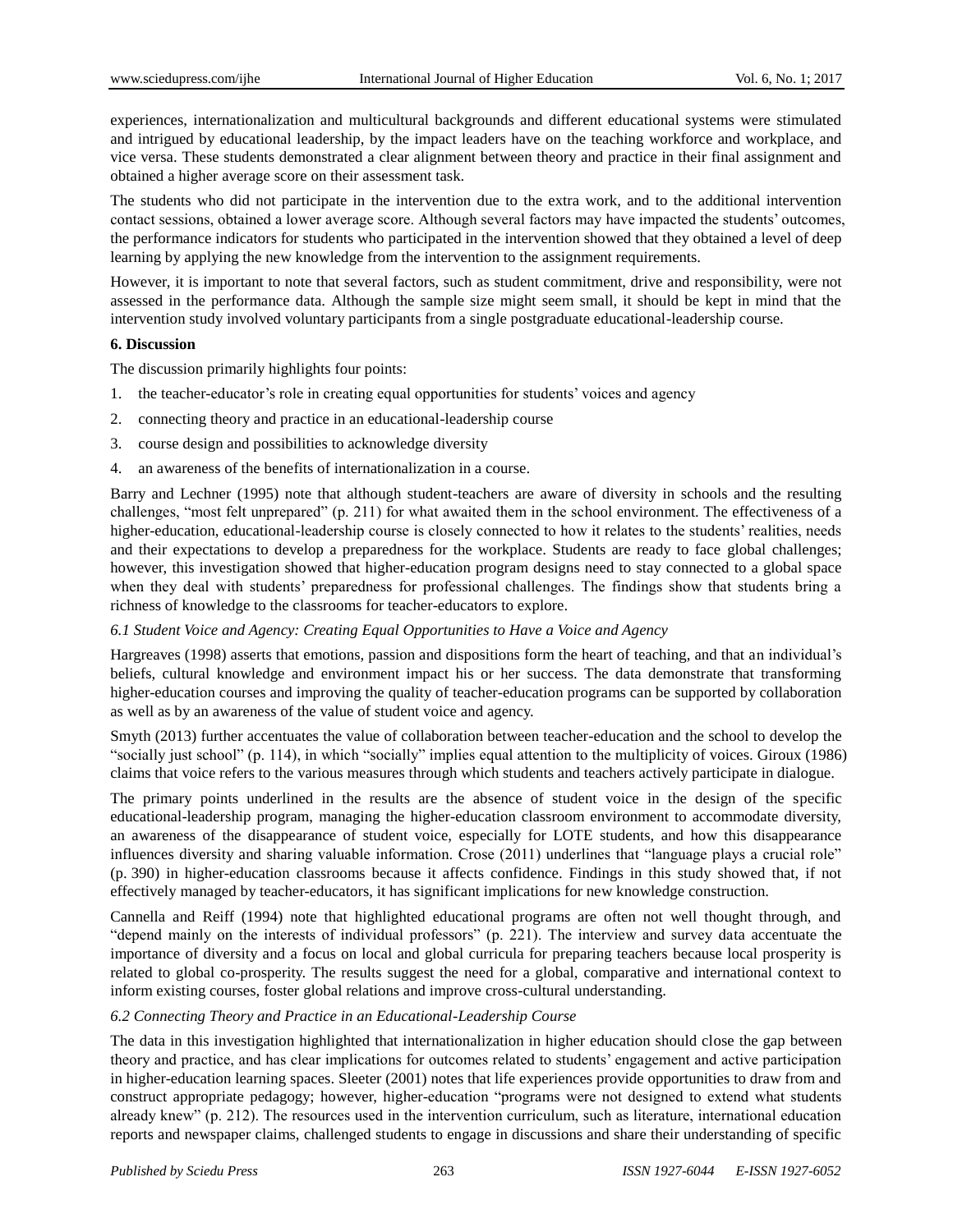experiences, internationalization and multicultural backgrounds and different educational systems were stimulated and intrigued by educational leadership, by the impact leaders have on the teaching workforce and workplace, and vice versa. These students demonstrated a clear alignment between theory and practice in their final assignment and obtained a higher average score on their assessment task.

The students who did not participate in the intervention due to the extra work, and to the additional intervention contact sessions, obtained a lower average score. Although several factors may have impacted the students' outcomes, the performance indicators for students who participated in the intervention showed that they obtained a level of deep learning by applying the new knowledge from the intervention to the assignment requirements.

However, it is important to note that several factors, such as student commitment, drive and responsibility, were not assessed in the performance data. Although the sample size might seem small, it should be kept in mind that the intervention study involved voluntary participants from a single postgraduate educational-leadership course.

## **6. Discussion**

The discussion primarily highlights four points:

- 1. the teacher-educator's role in creating equal opportunities for students' voices and agency
- 2. connecting theory and practice in an educational-leadership course
- 3. course design and possibilities to acknowledge diversity
- 4. an awareness of the benefits of internationalization in a course.

Barry and Lechner (1995) note that although student-teachers are aware of diversity in schools and the resulting challenges, "most felt unprepared" (p. 211) for what awaited them in the school environment. The effectiveness of a higher-education, educational-leadership course is closely connected to how it relates to the students' realities, needs and their expectations to develop a preparedness for the workplace. Students are ready to face global challenges; however, this investigation showed that higher-education program designs need to stay connected to a global space when they deal with students' preparedness for professional challenges. The findings show that students bring a richness of knowledge to the classrooms for teacher-educators to explore.

# *6.1 Student Voice and Agency: Creating Equal Opportunities to Have a Voice and Agency*

Hargreaves (1998) asserts that emotions, passion and dispositions form the heart of teaching, and that an individual's beliefs, cultural knowledge and environment impact his or her success. The data demonstrate that transforming higher-education courses and improving the quality of teacher-education programs can be supported by collaboration as well as by an awareness of the value of student voice and agency.

Smyth (2013) further accentuates the value of collaboration between teacher-education and the school to develop the "socially just school" (p. 114), in which "socially" implies equal attention to the multiplicity of voices. Giroux (1986) claims that voice refers to the various measures through which students and teachers actively participate in dialogue.

The primary points underlined in the results are the absence of student voice in the design of the specific educational-leadership program, managing the higher-education classroom environment to accommodate diversity, an awareness of the disappearance of student voice, especially for LOTE students, and how this disappearance influences diversity and sharing valuable information. Crose (2011) underlines that "language plays a crucial role" (p. 390) in higher-education classrooms because it affects confidence. Findings in this study showed that, if not effectively managed by teacher-educators, it has significant implications for new knowledge construction.

Cannella and Reiff (1994) note that highlighted educational programs are often not well thought through, and "depend mainly on the interests of individual professors" (p. 221). The interview and survey data accentuate the importance of diversity and a focus on local and global curricula for preparing teachers because local prosperity is related to global co-prosperity. The results suggest the need for a global, comparative and international context to inform existing courses, foster global relations and improve cross-cultural understanding.

# *6.2 Connecting Theory and Practice in an Educational-Leadership Course*

The data in this investigation highlighted that internationalization in higher education should close the gap between theory and practice, and has clear implications for outcomes related to students' engagement and active participation in higher-education learning spaces. Sleeter (2001) notes that life experiences provide opportunities to draw from and construct appropriate pedagogy; however, higher-education "programs were not designed to extend what students already knew" (p. 212). The resources used in the intervention curriculum, such as literature, international education reports and newspaper claims, challenged students to engage in discussions and share their understanding of specific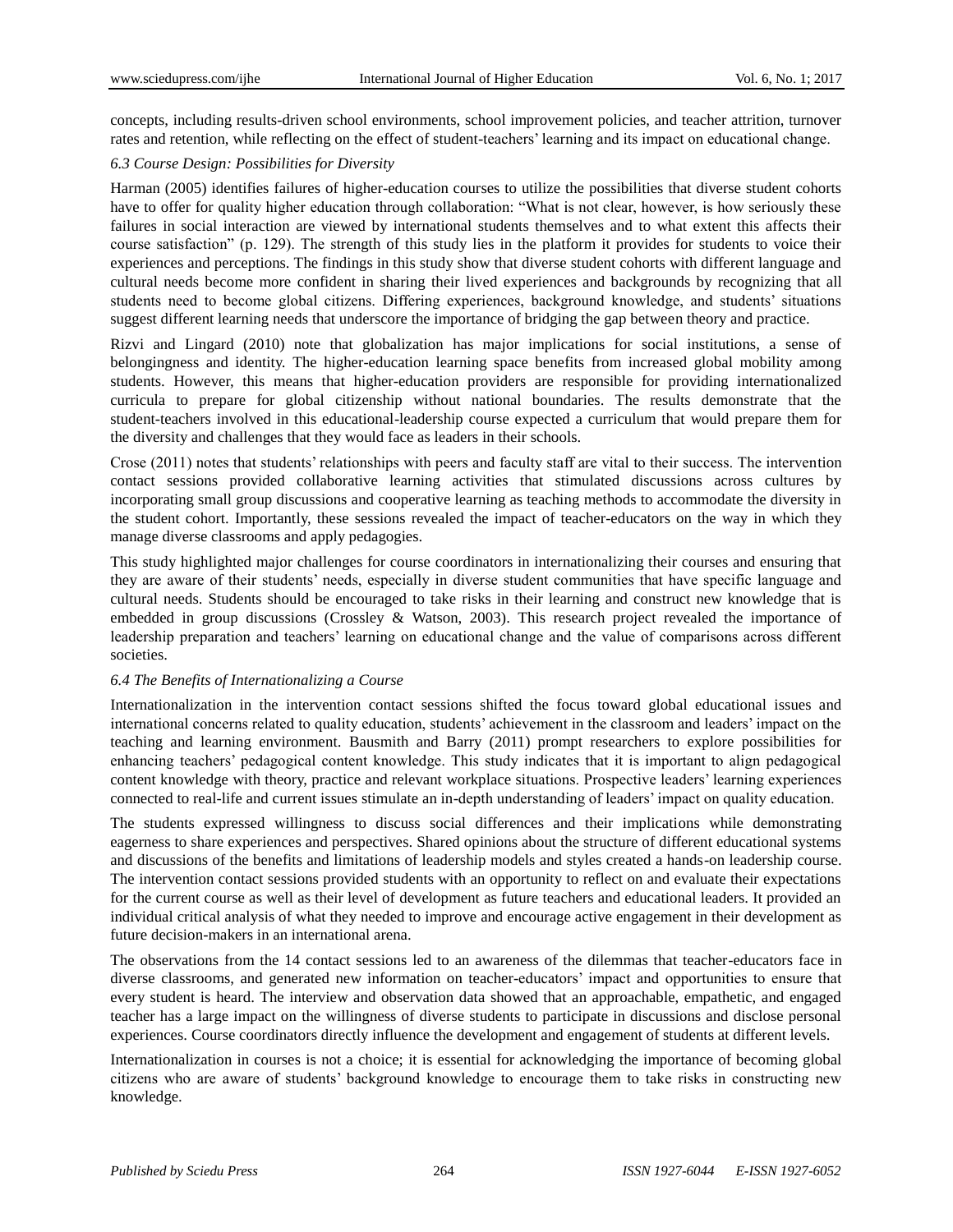concepts, including results-driven school environments, school improvement policies, and teacher attrition, turnover rates and retention, while reflecting on the effect of student-teachers' learning and its impact on educational change.

## *6.3 Course Design: Possibilities for Diversity*

Harman (2005) identifies failures of higher-education courses to utilize the possibilities that diverse student cohorts have to offer for quality higher education through collaboration: "What is not clear, however, is how seriously these failures in social interaction are viewed by international students themselves and to what extent this affects their course satisfaction" (p. 129). The strength of this study lies in the platform it provides for students to voice their experiences and perceptions. The findings in this study show that diverse student cohorts with different language and cultural needs become more confident in sharing their lived experiences and backgrounds by recognizing that all students need to become global citizens. Differing experiences, background knowledge, and students' situations suggest different learning needs that underscore the importance of bridging the gap between theory and practice.

Rizvi and Lingard (2010) note that globalization has major implications for social institutions, a sense of belongingness and identity. The higher-education learning space benefits from increased global mobility among students. However, this means that higher-education providers are responsible for providing internationalized curricula to prepare for global citizenship without national boundaries. The results demonstrate that the student-teachers involved in this educational-leadership course expected a curriculum that would prepare them for the diversity and challenges that they would face as leaders in their schools.

Crose (2011) notes that students' relationships with peers and faculty staff are vital to their success. The intervention contact sessions provided collaborative learning activities that stimulated discussions across cultures by incorporating small group discussions and cooperative learning as teaching methods to accommodate the diversity in the student cohort. Importantly, these sessions revealed the impact of teacher-educators on the way in which they manage diverse classrooms and apply pedagogies.

This study highlighted major challenges for course coordinators in internationalizing their courses and ensuring that they are aware of their students' needs, especially in diverse student communities that have specific language and cultural needs. Students should be encouraged to take risks in their learning and construct new knowledge that is embedded in group discussions (Crossley & Watson, 2003). This research project revealed the importance of leadership preparation and teachers' learning on educational change and the value of comparisons across different societies.

## *6.4 The Benefits of Internationalizing a Course*

Internationalization in the intervention contact sessions shifted the focus toward global educational issues and international concerns related to quality education, students' achievement in the classroom and leaders' impact on the teaching and learning environment. Bausmith and Barry (2011) prompt researchers to explore possibilities for enhancing teachers' pedagogical content knowledge. This study indicates that it is important to align pedagogical content knowledge with theory, practice and relevant workplace situations. Prospective leaders' learning experiences connected to real-life and current issues stimulate an in-depth understanding of leaders' impact on quality education.

The students expressed willingness to discuss social differences and their implications while demonstrating eagerness to share experiences and perspectives. Shared opinions about the structure of different educational systems and discussions of the benefits and limitations of leadership models and styles created a hands-on leadership course. The intervention contact sessions provided students with an opportunity to reflect on and evaluate their expectations for the current course as well as their level of development as future teachers and educational leaders. It provided an individual critical analysis of what they needed to improve and encourage active engagement in their development as future decision-makers in an international arena.

The observations from the 14 contact sessions led to an awareness of the dilemmas that teacher-educators face in diverse classrooms, and generated new information on teacher-educators' impact and opportunities to ensure that every student is heard. The interview and observation data showed that an approachable, empathetic, and engaged teacher has a large impact on the willingness of diverse students to participate in discussions and disclose personal experiences. Course coordinators directly influence the development and engagement of students at different levels.

Internationalization in courses is not a choice; it is essential for acknowledging the importance of becoming global citizens who are aware of students' background knowledge to encourage them to take risks in constructing new knowledge.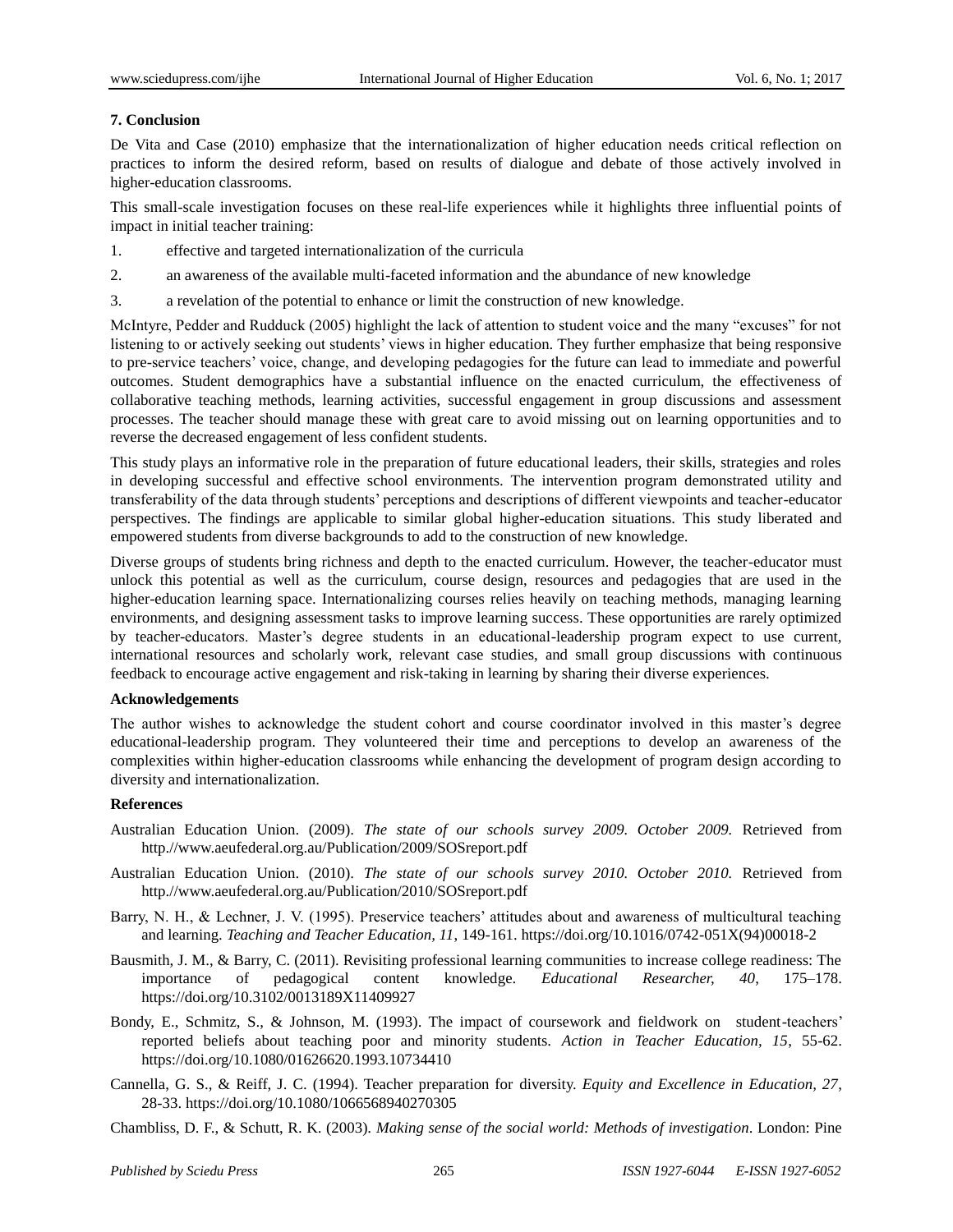## **7. Conclusion**

De Vita and Case (2010) emphasize that the internationalization of higher education needs critical reflection on practices to inform the desired reform, based on results of dialogue and debate of those actively involved in higher-education classrooms.

This small-scale investigation focuses on these real-life experiences while it highlights three influential points of impact in initial teacher training:

- 1. effective and targeted internationalization of the curricula
- 2. an awareness of the available multi-faceted information and the abundance of new knowledge
- 3. a revelation of the potential to enhance or limit the construction of new knowledge.

McIntyre, Pedder and Rudduck (2005) highlight the lack of attention to student voice and the many "excuses" for not listening to or actively seeking out students' views in higher education. They further emphasize that being responsive to pre-service teachers' voice, change, and developing pedagogies for the future can lead to immediate and powerful outcomes. Student demographics have a substantial influence on the enacted curriculum, the effectiveness of collaborative teaching methods, learning activities, successful engagement in group discussions and assessment processes. The teacher should manage these with great care to avoid missing out on learning opportunities and to reverse the decreased engagement of less confident students.

This study plays an informative role in the preparation of future educational leaders, their skills, strategies and roles in developing successful and effective school environments. The intervention program demonstrated utility and transferability of the data through students' perceptions and descriptions of different viewpoints and teacher-educator perspectives. The findings are applicable to similar global higher-education situations. This study liberated and empowered students from diverse backgrounds to add to the construction of new knowledge.

Diverse groups of students bring richness and depth to the enacted curriculum. However, the teacher-educator must unlock this potential as well as the curriculum, course design, resources and pedagogies that are used in the higher-education learning space. Internationalizing courses relies heavily on teaching methods, managing learning environments, and designing assessment tasks to improve learning success. These opportunities are rarely optimized by teacher-educators. Master's degree students in an educational-leadership program expect to use current, international resources and scholarly work, relevant case studies, and small group discussions with continuous feedback to encourage active engagement and risk-taking in learning by sharing their diverse experiences.

## **Acknowledgements**

The author wishes to acknowledge the student cohort and course coordinator involved in this master's degree educational-leadership program. They volunteered their time and perceptions to develop an awareness of the complexities within higher-education classrooms while enhancing the development of program design according to diversity and internationalization.

## **References**

- Australian Education Union. (2009). *The state of our schools survey 2009. October 2009.* Retrieved from http.//www.aeufederal.org.au/Publication/2009/SOSreport.pdf
- Australian Education Union. (2010). *The state of our schools survey 2010. October 2010.* Retrieved from http.//www.aeufederal.org.au/Publication/2010/SOSreport.pdf
- Barry, N. H., & Lechner, J. V. (1995). Preservice teachers' attitudes about and awareness of multicultural teaching and learning. *Teaching and Teacher Education, 11*, 149-161. [https://doi.org/10.1016/0742-051X\(94\)00018-2](https://doi.org/10.1016/0742-051X(94)00018-2)
- Bausmith, J. M., & Barry, C. (2011). Revisiting professional learning communities to increase college readiness: The importance of pedagogical content knowledge. *Educational Researcher, 40*, 175–178. <https://doi.org/10.3102/0013189X11409927>
- Bondy, E., Schmitz, S., & Johnson, M. (1993). The impact of coursework and fieldwork on student-teachers' reported beliefs about teaching poor and minority students. *Action in Teacher Education, 15*, 55-62. <https://doi.org/10.1080/01626620.1993.10734410>
- Cannella, G. S., & Reiff, J. C. (1994). Teacher preparation for diversity. *Equity and Excellence in Education, 27*, 28-33.<https://doi.org/10.1080/1066568940270305>
- Chambliss, D. F., & Schutt, R. K. (2003). *Making sense of the social world: Methods of investigation*. London: Pine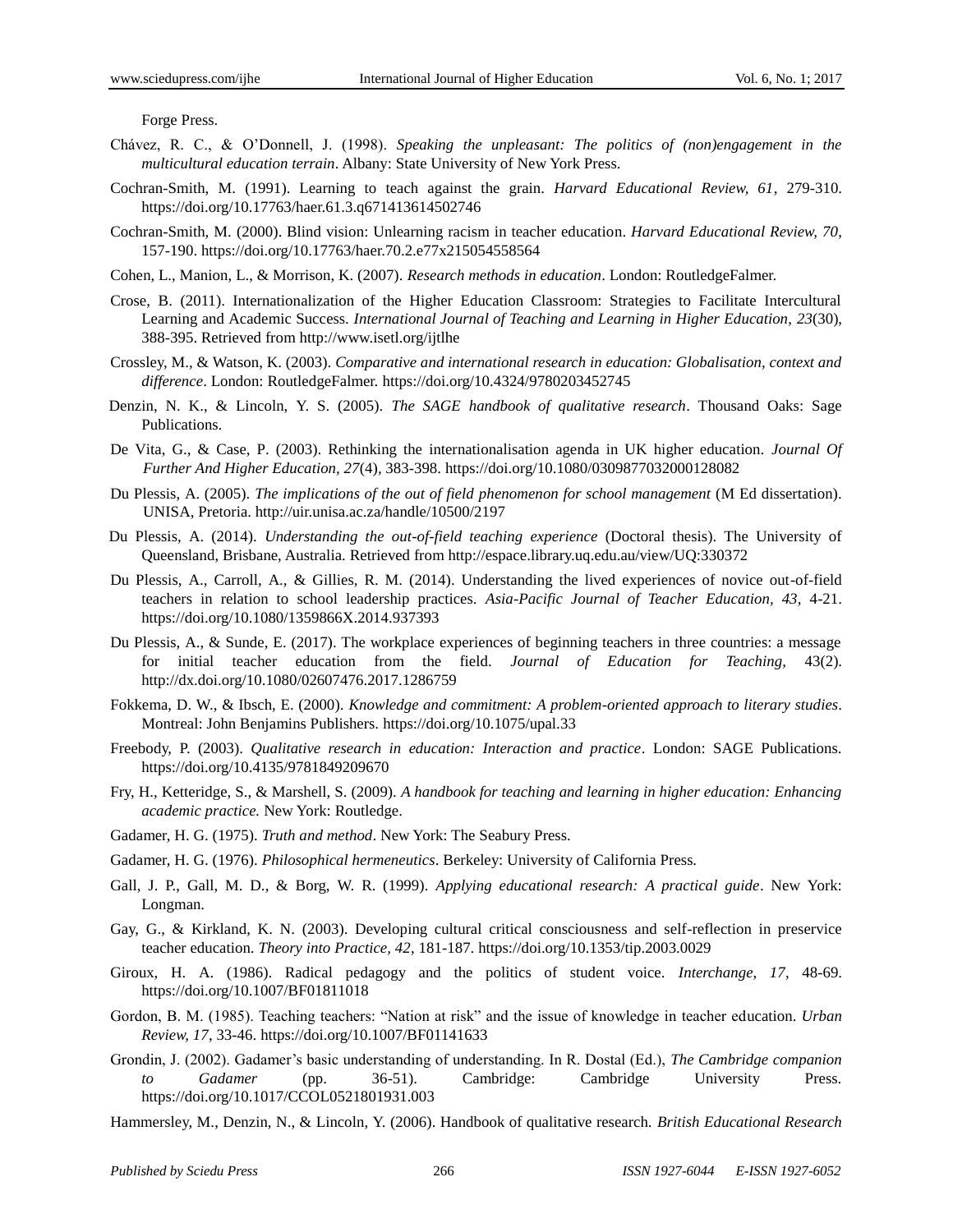Forge Press.

- Chávez, R. C., & O'Donnell, J. (1998). *Speaking the unpleasant: The politics of (non)engagement in the multicultural education terrain*. Albany: State University of New York Press.
- Cochran-Smith, M. (1991). Learning to teach against the grain. *Harvard Educational Review, 61*, 279-310. <https://doi.org/10.17763/haer.61.3.q671413614502746>
- Cochran-Smith, M. (2000). Blind vision: Unlearning racism in teacher education. *Harvard Educational Review, 70*, 157-190.<https://doi.org/10.17763/haer.70.2.e77x215054558564>
- Cohen, L., Manion, L., & Morrison, K. (2007). *Research methods in education*. London: RoutledgeFalmer.
- Crose, B. (2011). Internationalization of the Higher Education Classroom: Strategies to Facilitate Intercultural Learning and Academic Success. *International Journal of Teaching and Learning in Higher Education, 23*(30), 388-395. Retrieved from http://www.isetl.org/ijtlhe
- Crossley, M., & Watson, K. (2003). *Comparative and international research in education: Globalisation, context and difference*. London: RoutledgeFalmer. <https://doi.org/10.4324/9780203452745>
- Denzin, N. K., & Lincoln, Y. S. (2005). *The SAGE handbook of qualitative research*. Thousand Oaks: Sage Publications.
- De Vita, G., & Case, P. (2003). Rethinking the internationalisation agenda in UK higher education. *[Journal Of](http://www.tandfonline.com/toc/cjfh20/27/4)  [Further And Higher Education, 27](http://www.tandfonline.com/toc/cjfh20/27/4)*(4)*,* 383-398.<https://doi.org/10.1080/0309877032000128082>
- Du Plessis, A. (2005). *The implications of the out of field phenomenon for school management* (M Ed dissertation). UNISA, Pretoria. http://uir.unisa.ac.za/handle/10500/2197
- Du Plessis, A. (2014). *Understanding the out-of-field teaching experience* (Doctoral thesis). The University of Queensland, Brisbane, Australia. Retrieved from http://espace.library.uq.edu.au/view/UQ:330372
- Du Plessis, A., Carroll, A., & Gillies, R. M. (2014). Understanding the lived experiences of novice out-of-field teachers in relation to school leadership practices. *Asia-Pacific Journal of Teacher Education, 43*, 4-21. <https://doi.org/10.1080/1359866X.2014.937393>
- Du Plessis, A., & Sunde, E. (2017). The workplace experiences of beginning teachers in three countries: a message for initial teacher education from the field. *Journal of Education for Teaching,* 43(2). http://dx.doi.org/10.1080/02607476.2017.1286759
- Fokkema, D. W., & Ibsch, E. (2000). *Knowledge and commitment: A problem-oriented approach to literary studies*. Montreal: John Benjamins Publishers. <https://doi.org/10.1075/upal.33>
- Freebody, P. (2003). *Qualitative research in education: Interaction and practice*. London: SAGE Publications. <https://doi.org/10.4135/9781849209670>
- Fry, H., Ketteridge, S., & Marshell, S. (2009). *A handbook for teaching and learning in higher education: Enhancing academic practice.* New York: Routledge.
- Gadamer, H. G. (1975). *Truth and method*. New York: The Seabury Press.
- Gadamer, H. G. (1976). *Philosophical hermeneutics*. Berkeley: University of California Press.
- Gall, J. P., Gall, M. D., & Borg, W. R. (1999). *Applying educational research: A practical guide*. New York: Longman.
- Gay, G., & Kirkland, K. N. (2003). Developing cultural critical consciousness and self-reflection in preservice teacher education. *Theory into Practice, 42*, 181-187.<https://doi.org/10.1353/tip.2003.0029>
- Giroux, H. A. (1986). Radical pedagogy and the politics of student voice. *Interchange, 17*, 48-69. <https://doi.org/10.1007/BF01811018>
- Gordon, B. M. (1985). Teaching teachers: "Nation at risk" and the issue of knowledge in teacher education. *Urban Review, 17*, 33-46.<https://doi.org/10.1007/BF01141633>
- Grondin, J. (2002). Gadamer's basic understanding of understanding. In R. Dostal (Ed.), *The Cambridge companion to Gadamer* (pp. 36-51). Cambridge: Cambridge University Press. <https://doi.org/10.1017/CCOL0521801931.003>
- Hammersley, M., Denzin, N., & Lincoln, Y. (2006). Handbook of qualitative research. *British Educational Research*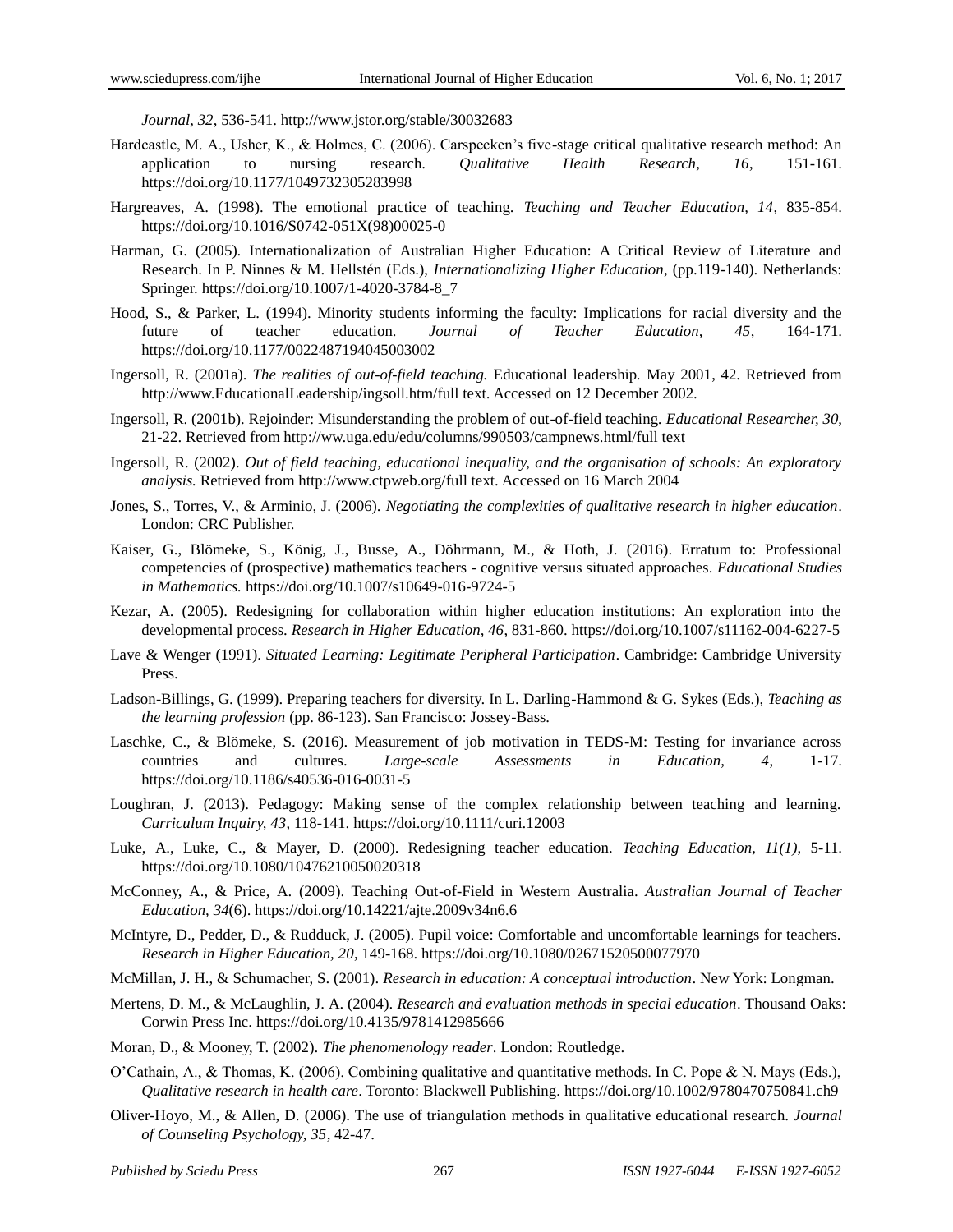*Journal, 32*, 536-541. <http://www.jstor.org/stable/30032683>

- Hardcastle, M. A., Usher, K., & Holmes, C. (2006). Carspecken's five-stage critical qualitative research method: An application to nursing research. *Qualitative Health Research, 16*, 151-161. <https://doi.org/10.1177/1049732305283998>
- Hargreaves, A. (1998). The emotional practice of teaching. *Teaching and Teacher Education, 14*, 835-854. [https://doi.org/10.1016/S0742-051X\(98\)00025-0](https://doi.org/10.1016/S0742-051X(98)00025-0)
- Harman, G. (2005). Internationalization of Australian Higher Education: A Critical Review of Literature and Research. In P. Ninnes & M. Hellstén (Eds.), *Internationalizing Higher Education*, (pp.119-140). Netherlands: Springer. [https://doi.org/10.1007/1-4020-3784-8\\_7](https://doi.org/10.1007/1-4020-3784-8_7)
- Hood, S., & Parker, L. (1994). Minority students informing the faculty: Implications for racial diversity and the future of teacher education. *Journal of Teacher Education, 45*, 164-171. <https://doi.org/10.1177/0022487194045003002>
- Ingersoll, R. (2001a). *The realities of out-of-field teaching.* Educational leadership*.* May 2001, 42. Retrieved from http://www.EducationalLeadership/ingsoll.htm/full text. Accessed on 12 December 2002.
- Ingersoll, R. (2001b). Rejoinder: Misunderstanding the problem of out-of-field teaching*. Educational Researcher, 30*, 21-22. Retrieved from http://ww.uga.edu/edu/columns/990503/campnews.html/full text
- Ingersoll, R. (2002). *Out of field teaching, educational inequality, and the organisation of schools: An exploratory analysis.* Retrieved from http://www.ctpweb.org/full text. Accessed on 16 March 2004
- Jones, S., Torres, V., & Arminio, J. (2006). *Negotiating the complexities of qualitative research in higher education*. London: CRC Publisher.
- Kaiser, G., Blömeke, S., König, J., Busse, A., Döhrmann, M., & Hoth, J. (2016). Erratum to: Professional competencies of (prospective) mathematics teachers - cognitive versus situated approaches. *Educational Studies in Mathematics.* <https://doi.org/10.1007/s10649-016-9724-5>
- Kezar, A. (2005). Redesigning for collaboration within higher education institutions: An exploration into the developmental process. *Research in Higher Education, 46*, 831-860.<https://doi.org/10.1007/s11162-004-6227-5>
- Lave & Wenger (1991). *Situated Learning: Legitimate Peripheral Participation*. Cambridge: Cambridge University Press.
- Ladson-Billings, G. (1999). Preparing teachers for diversity. In L. Darling-Hammond & G. Sykes (Eds.), *Teaching as the learning profession* (pp. 86-123). San Francisco: Jossey-Bass.
- Laschke, C., & Blömeke, S. (2016). Measurement of job motivation in TEDS-M: Testing for invariance across countries and cultures. *Large-scale Assessments in Education, 4*, 1-17. <https://doi.org/10.1186/s40536-016-0031-5>
- Loughran, J. (2013). Pedagogy: Making sense of the complex relationship between teaching and learning. *Curriculum Inquiry, 43*, 118-141.<https://doi.org/10.1111/curi.12003>
- Luke, A., Luke, C., & Mayer, D. (2000). Redesigning teacher education. *Teaching Education, 11(1)*, 5-11. <https://doi.org/10.1080/10476210050020318>
- McConney, A., & Price, A. (2009). Teaching Out-of-Field in Western Australia. *Australian Journal of Teacher Education, 34*(6)[. https://doi.org/10.14221/ajte.2009v34n6.6](https://doi.org/10.14221/ajte.2009v34n6.6)
- McIntyre, D., Pedder, D., & Rudduck, J. (2005). Pupil voice: Comfortable and uncomfortable learnings for teachers. *Research in Higher Education, 20*, 149-168.<https://doi.org/10.1080/02671520500077970>
- McMillan, J. H., & Schumacher, S. (2001). *Research in education: A conceptual introduction*. New York: Longman.
- Mertens, D. M., & McLaughlin, J. A. (2004). *Research and evaluation methods in special education*. Thousand Oaks: Corwin Press Inc. <https://doi.org/10.4135/9781412985666>
- Moran, D., & Mooney, T. (2002). *The phenomenology reader*. London: Routledge.
- O'Cathain, A., & Thomas, K. (2006). Combining qualitative and quantitative methods. In C. Pope & N. Mays (Eds.), *Qualitative research in health care*. Toronto: Blackwell Publishing. <https://doi.org/10.1002/9780470750841.ch9>
- Oliver-Hoyo, M., & Allen, D. (2006). The use of triangulation methods in qualitative educational research. *Journal of Counseling Psychology, 35*, 42-47.